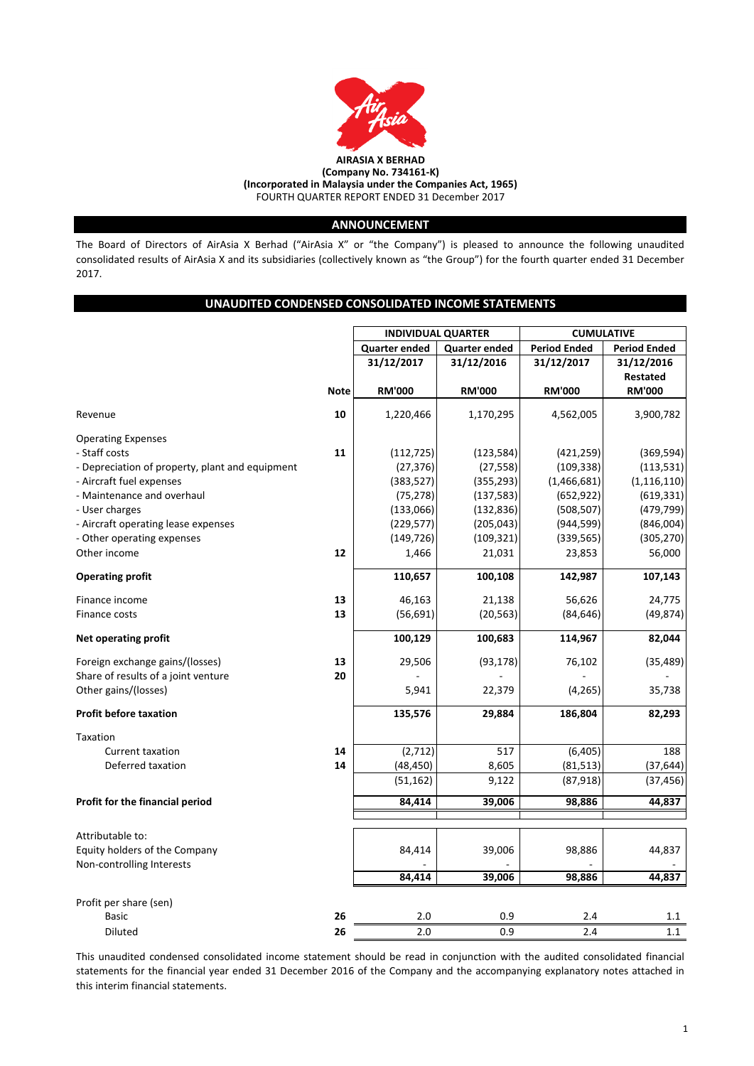

# **ANNOUNCEMENT**

The Board of Directors of AirAsia X Berhad ("AirAsia X" or "the Company") is pleased to announce the following unaudited consolidated results of AirAsia X and its subsidiaries (collectively known as "the Group") for the fourth quarter ended 31 December 2017.

# **UNAUDITED CONDENSED CONSOLIDATED INCOME STATEMENTS**

|                                                 |             | <b>INDIVIDUAL QUARTER</b> |                      | <b>CUMULATIVE</b>   |                     |  |
|-------------------------------------------------|-------------|---------------------------|----------------------|---------------------|---------------------|--|
|                                                 |             | <b>Quarter ended</b>      | <b>Quarter ended</b> | <b>Period Ended</b> | <b>Period Ended</b> |  |
|                                                 |             | 31/12/2017                | 31/12/2016           | 31/12/2017          | 31/12/2016          |  |
|                                                 |             |                           |                      |                     | Restated            |  |
|                                                 | <b>Note</b> | <b>RM'000</b>             | <b>RM'000</b>        | <b>RM'000</b>       | <b>RM'000</b>       |  |
| Revenue                                         | 10          | 1,220,466                 | 1,170,295            | 4,562,005           | 3,900,782           |  |
| <b>Operating Expenses</b>                       |             |                           |                      |                     |                     |  |
| - Staff costs                                   | 11          | (112, 725)                | (123, 584)           | (421, 259)          | (369, 594)          |  |
| - Depreciation of property, plant and equipment |             | (27, 376)                 | (27, 558)            | (109, 338)          | (113, 531)          |  |
| - Aircraft fuel expenses                        |             | (383, 527)                | (355, 293)           | (1,466,681)         | (1, 116, 110)       |  |
| - Maintenance and overhaul                      |             | (75, 278)                 | (137, 583)           | (652, 922)          | (619, 331)          |  |
| - User charges                                  |             | (133,066)                 | (132, 836)           | (508, 507)          | (479, 799)          |  |
| - Aircraft operating lease expenses             |             | (229, 577)                | (205, 043)           | (944, 599)          | (846,004)           |  |
| - Other operating expenses                      |             | (149, 726)                | (109, 321)           | (339, 565)          | (305, 270)          |  |
| Other income                                    | 12          | 1,466                     | 21,031               | 23,853              | 56,000              |  |
| <b>Operating profit</b>                         |             | 110,657                   | 100,108              | 142,987             | 107,143             |  |
| Finance income                                  | 13          | 46,163                    | 21,138               | 56,626              | 24,775              |  |
| Finance costs                                   | 13          | (56, 691)                 | (20, 563)            | (84, 646)           | (49, 874)           |  |
| Net operating profit                            |             | 100,129                   | 100,683              | 114,967             | 82,044              |  |
| Foreign exchange gains/(losses)                 | 13          | 29,506                    | (93, 178)            | 76,102              | (35,489)            |  |
| Share of results of a joint venture             | 20          |                           |                      |                     |                     |  |
| Other gains/(losses)                            |             | 5,941                     | 22,379               | (4, 265)            | 35,738              |  |
| <b>Profit before taxation</b>                   |             | 135,576                   | 29,884               | 186,804             | 82,293              |  |
| Taxation                                        |             |                           |                      |                     |                     |  |
| <b>Current taxation</b>                         | 14          | (2,712)                   | 517                  | (6, 405)            | 188                 |  |
| Deferred taxation                               | 14          | (48, 450)                 | 8,605                | (81, 513)           | (37, 644)           |  |
|                                                 |             | (51, 162)                 | 9,122                | (87, 918)           | (37, 456)           |  |
| Profit for the financial period                 |             | 84,414                    | 39,006               | 98,886              | 44,837              |  |
|                                                 |             |                           |                      |                     |                     |  |
| Attributable to:                                |             |                           |                      |                     |                     |  |
| Equity holders of the Company                   |             | 84,414                    | 39,006               | 98,886              | 44,837              |  |
| Non-controlling Interests                       |             |                           |                      |                     |                     |  |
|                                                 |             | 84,414                    | 39,006               | 98,886              | 44,837              |  |
| Profit per share (sen)                          |             |                           |                      |                     |                     |  |
| <b>Basic</b>                                    | 26          | 2.0                       | 0.9                  | 2.4                 | 1.1                 |  |
| <b>Diluted</b>                                  | 26          | 2.0                       | 0.9                  | 2.4                 | $1.1\,$             |  |

This unaudited condensed consolidated income statement should be read in conjunction with the audited consolidated financial statements for the financial year ended 31 December 2016 of the Company and the accompanying explanatory notes attached in this interim financial statements.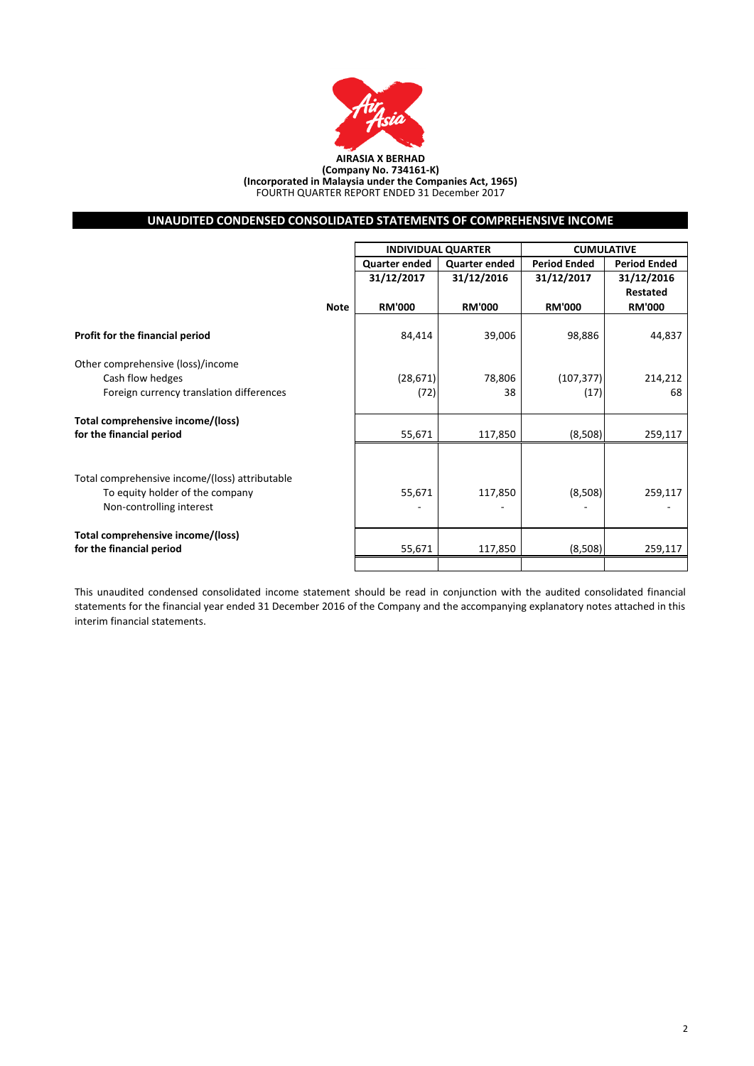

#### **AIRASIA X BERHAD (Company No. 734161-K) (Incorporated in Malaysia under the Companies Act, 1965)** FOURTH QUARTER REPORT ENDED 31 December 2017

# **UNAUDITED CONDENSED CONSOLIDATED STATEMENTS OF COMPREHENSIVE INCOME**

|                                                |             |                      | <b>INDIVIDUAL QUARTER</b> | <b>CUMULATIVE</b>   |                     |  |
|------------------------------------------------|-------------|----------------------|---------------------------|---------------------|---------------------|--|
|                                                |             | <b>Quarter ended</b> | <b>Quarter ended</b>      | <b>Period Ended</b> | <b>Period Ended</b> |  |
|                                                |             | 31/12/2017           | 31/12/2016                | 31/12/2017          | 31/12/2016          |  |
|                                                |             |                      |                           |                     | Restated            |  |
|                                                | <b>Note</b> | <b>RM'000</b>        | <b>RM'000</b>             | <b>RM'000</b>       | <b>RM'000</b>       |  |
| Profit for the financial period                |             | 84,414               | 39,006                    | 98,886              | 44,837              |  |
| Other comprehensive (loss)/income              |             |                      |                           |                     |                     |  |
| Cash flow hedges                               |             | (28, 671)            | 78,806                    | (107, 377)          | 214,212             |  |
| Foreign currency translation differences       |             | (72)                 | 38                        | (17)                | 68                  |  |
| Total comprehensive income/(loss)              |             |                      |                           |                     |                     |  |
| for the financial period                       |             | 55,671               | 117,850                   | (8,508)             | 259,117             |  |
|                                                |             |                      |                           |                     |                     |  |
| Total comprehensive income/(loss) attributable |             |                      |                           |                     |                     |  |
| To equity holder of the company                |             | 55,671               | 117,850                   | (8,508)             | 259,117             |  |
| Non-controlling interest                       |             |                      |                           |                     |                     |  |
| Total comprehensive income/(loss)              |             |                      |                           |                     |                     |  |
| for the financial period                       |             | 55,671               | 117,850                   | (8,508)             | 259,117             |  |
|                                                |             |                      |                           |                     |                     |  |

This unaudited condensed consolidated income statement should be read in conjunction with the audited consolidated financial statements for the financial year ended 31 December 2016 of the Company and the accompanying explanatory notes attached in this interim financial statements.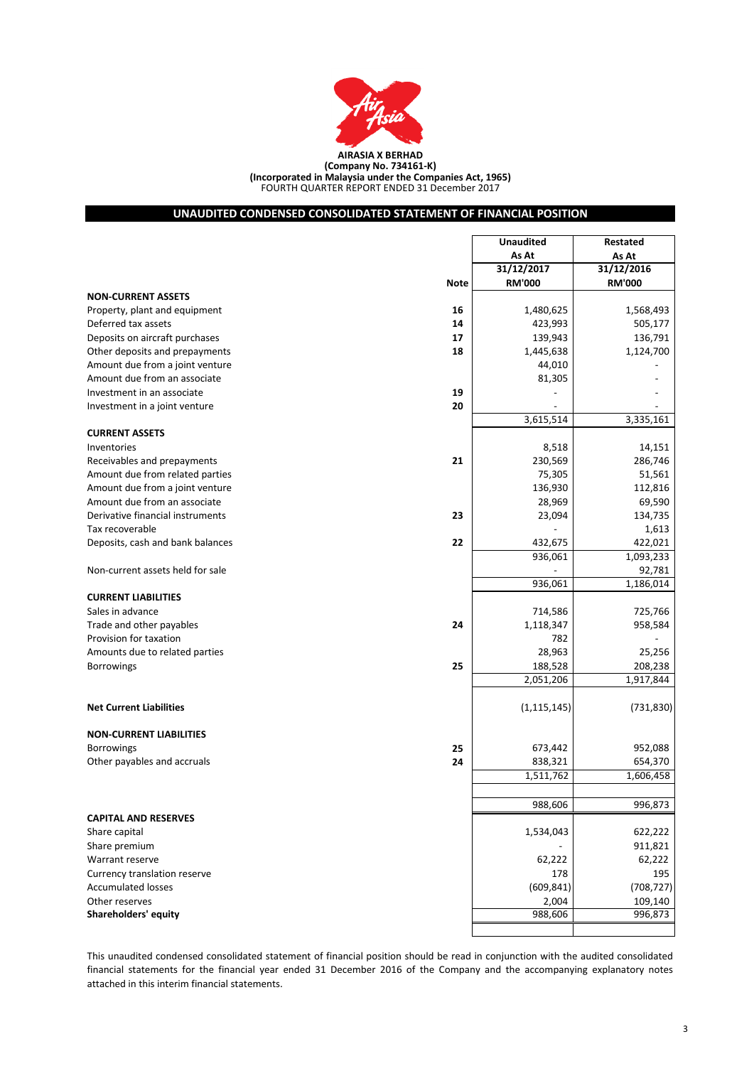

FOURTH QUARTER REPORT ENDED 31 December 2017 **(Company No. 734161-K) (Incorporated in Malaysia under the Companies Act, 1965)**

# **UNAUDITED CONDENSED CONSOLIDATED STATEMENT OF FINANCIAL POSITION**

|                                        | <b>Unaudited</b> | Restated      |
|----------------------------------------|------------------|---------------|
|                                        | As At            | As At         |
|                                        | 31/12/2017       | 31/12/2016    |
| <b>Note</b>                            | <b>RM'000</b>    | <b>RM'000</b> |
| <b>NON-CURRENT ASSETS</b>              |                  |               |
| Property, plant and equipment<br>16    | 1,480,625        | 1,568,493     |
| Deferred tax assets<br>14              | 423,993          | 505,177       |
| Deposits on aircraft purchases<br>17   | 139,943          | 136,791       |
| Other deposits and prepayments<br>18   | 1,445,638        | 1,124,700     |
| Amount due from a joint venture        | 44,010           |               |
| Amount due from an associate           | 81,305           |               |
| Investment in an associate<br>19       |                  |               |
| 20<br>Investment in a joint venture    |                  |               |
|                                        | 3,615,514        | 3,335,161     |
| <b>CURRENT ASSETS</b>                  |                  |               |
| Inventories                            | 8,518            | 14,151        |
| 21<br>Receivables and prepayments      | 230,569          | 286,746       |
| Amount due from related parties        | 75,305           | 51,561        |
| Amount due from a joint venture        | 136,930          | 112,816       |
| Amount due from an associate           | 28,969           | 69,590        |
| Derivative financial instruments<br>23 | 23,094           | 134,735       |
| Tax recoverable                        |                  | 1,613         |
| 22<br>Deposits, cash and bank balances | 432,675          | 422,021       |
|                                        | 936,061          | 1,093,233     |
| Non-current assets held for sale       |                  | 92,781        |
|                                        | 936,061          | 1,186,014     |
| <b>CURRENT LIABILITIES</b>             |                  |               |
| Sales in advance                       | 714,586          | 725,766       |
| Trade and other payables<br>24         | 1,118,347        | 958,584       |
| Provision for taxation                 | 782              |               |
| Amounts due to related parties         | 28,963           | 25,256        |
| 25<br><b>Borrowings</b>                | 188,528          | 208,238       |
|                                        | 2,051,206        | 1,917,844     |
|                                        |                  |               |
| <b>Net Current Liabilities</b>         | (1, 115, 145)    | (731, 830)    |
| <b>NON-CURRENT LIABILITIES</b>         |                  |               |
| <b>Borrowings</b><br>25                | 673,442          | 952,088       |
| Other payables and accruals<br>24      | 838,321          | 654,370       |
|                                        | 1,511,762        | 1,606,458     |
|                                        |                  |               |
|                                        | 988,606          | 996,873       |
| <b>CAPITAL AND RESERVES</b>            |                  |               |
| Share capital                          | 1,534,043        | 622,222       |
| Share premium                          |                  | 911,821       |
| Warrant reserve                        | 62,222           | 62,222        |
| Currency translation reserve           | 178              | 195           |
| <b>Accumulated losses</b>              | (609, 841)       | (708, 727)    |
| Other reserves                         | 2,004            | 109,140       |
| Shareholders' equity                   | 988,606          | 996,873       |
|                                        |                  |               |
|                                        |                  |               |

This unaudited condensed consolidated statement of financial position should be read in conjunction with the audited consolidated financial statements for the financial year ended 31 December 2016 of the Company and the accompanying explanatory notes attached in this interim financial statements.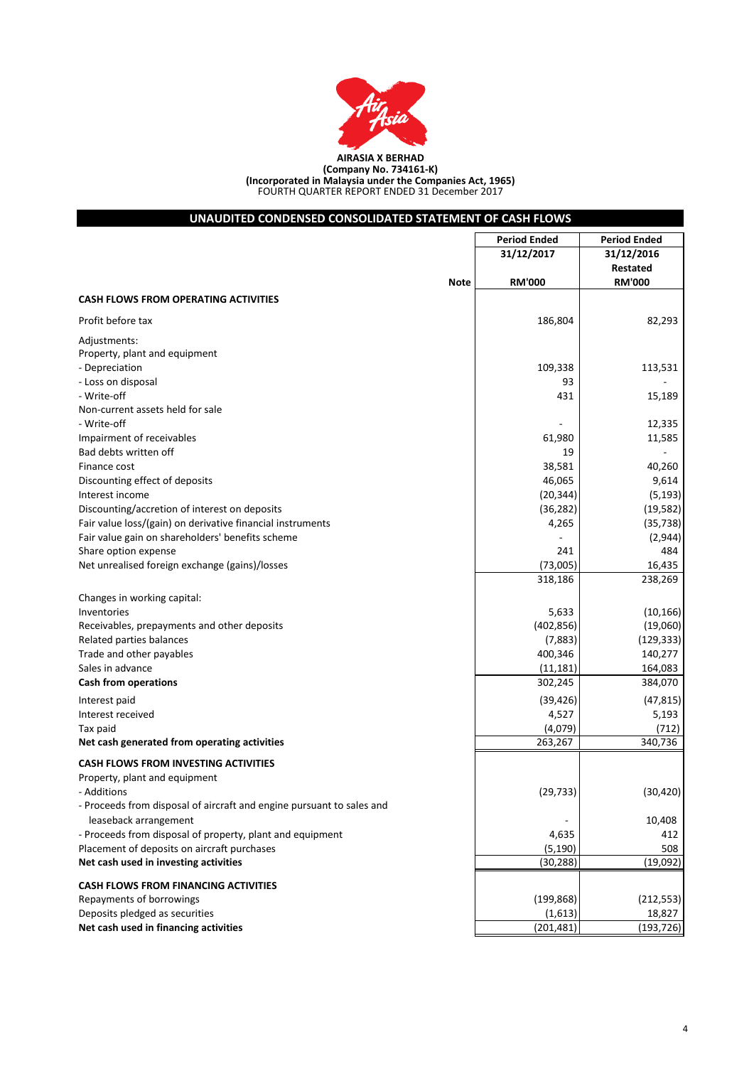

| UNAUDITED CONDENSED CONSOLIDATED STATEMENT OF CASH FLOWS              |                     |                     |
|-----------------------------------------------------------------------|---------------------|---------------------|
|                                                                       | <b>Period Ended</b> | <b>Period Ended</b> |
|                                                                       | 31/12/2017          | 31/12/2016          |
|                                                                       |                     | Restated            |
| <b>Note</b>                                                           | <b>RM'000</b>       | <b>RM'000</b>       |
| <b>CASH FLOWS FROM OPERATING ACTIVITIES</b>                           |                     |                     |
| Profit before tax                                                     | 186,804             | 82,293              |
| Adjustments:                                                          |                     |                     |
| Property, plant and equipment                                         |                     |                     |
| - Depreciation                                                        | 109,338             | 113,531             |
| - Loss on disposal                                                    | 93                  |                     |
| - Write-off                                                           | 431                 | 15,189              |
| Non-current assets held for sale                                      |                     |                     |
| - Write-off                                                           |                     | 12,335              |
| Impairment of receivables<br>Bad debts written off                    | 61,980<br>19        | 11,585              |
| Finance cost                                                          | 38,581              | 40,260              |
| Discounting effect of deposits                                        | 46,065              | 9,614               |
| Interest income                                                       | (20, 344)           | (5, 193)            |
| Discounting/accretion of interest on deposits                         | (36, 282)           | (19, 582)           |
| Fair value loss/(gain) on derivative financial instruments            | 4,265               | (35, 738)           |
| Fair value gain on shareholders' benefits scheme                      |                     | (2,944)             |
| Share option expense                                                  | 241                 | 484                 |
| Net unrealised foreign exchange (gains)/losses                        | (73,005)            | 16,435              |
|                                                                       | 318,186             | 238,269             |
|                                                                       |                     |                     |
| Changes in working capital:<br>Inventories                            | 5,633               | (10, 166)           |
| Receivables, prepayments and other deposits                           | (402, 856)          | (19,060)            |
| Related parties balances                                              | (7,883)             | (129, 333)          |
| Trade and other payables                                              | 400,346             | 140,277             |
| Sales in advance                                                      | (11, 181)           | 164,083             |
| <b>Cash from operations</b>                                           | 302,245             | 384,070             |
|                                                                       |                     |                     |
| Interest paid<br>Interest received                                    | (39, 426)<br>4,527  | (47, 815)           |
| Tax paid                                                              | (4,079)             | 5,193<br>(712)      |
| Net cash generated from operating activities                          | 263,267             | 340,736             |
| <b>CASH FLOWS FROM INVESTING ACTIVITIES</b>                           |                     |                     |
| Property, plant and equipment                                         |                     |                     |
| - Additions                                                           | (29, 733)           | (30, 420)           |
| - Proceeds from disposal of aircraft and engine pursuant to sales and |                     |                     |
| leaseback arrangement                                                 |                     | 10,408              |
| - Proceeds from disposal of property, plant and equipment             | 4,635               | 412                 |
| Placement of deposits on aircraft purchases                           | (5, 190)            | 508                 |
| Net cash used in investing activities                                 | (30, 288)           | (19,092)            |
| <b>CASH FLOWS FROM FINANCING ACTIVITIES</b>                           |                     |                     |
| Repayments of borrowings                                              | (199, 868)          | (212, 553)          |
| Deposits pledged as securities                                        | (1,613)             | 18,827              |
| Net cash used in financing activities                                 | (201, 481)          | (193, 726)          |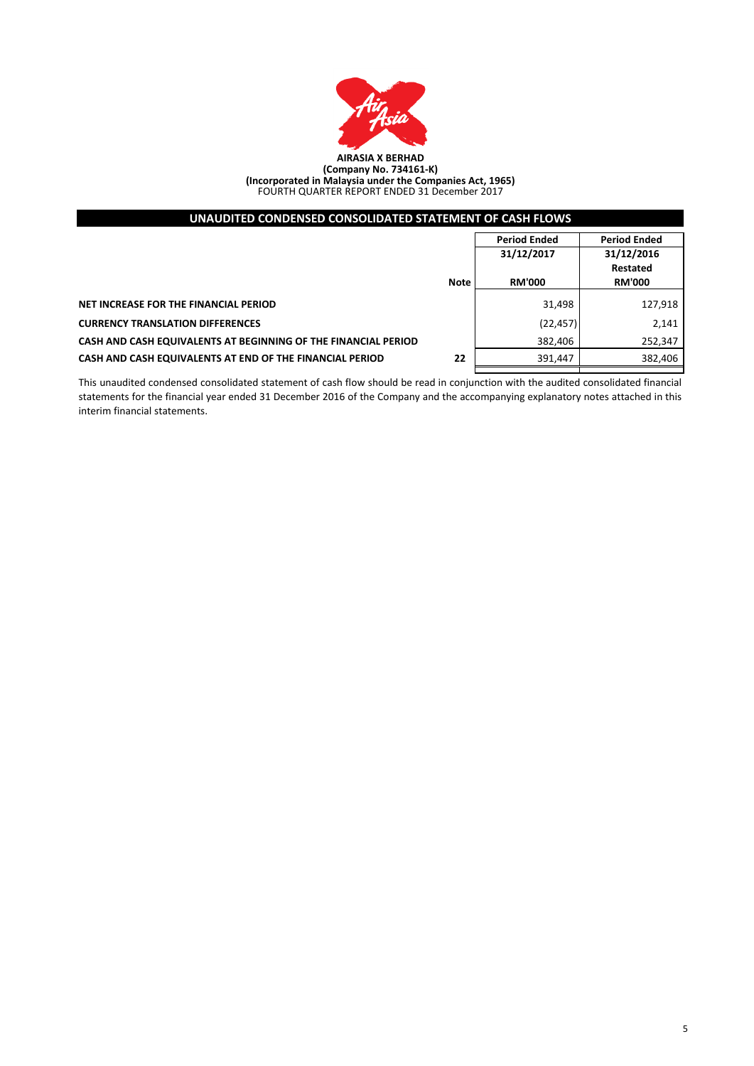

| UNAUDITED CONDENSED CONSOLIDATED STATEMENT OF CASH FLOWS       |             |                     |                     |
|----------------------------------------------------------------|-------------|---------------------|---------------------|
|                                                                |             | <b>Period Ended</b> | <b>Period Ended</b> |
|                                                                | 31/12/2017  |                     | 31/12/2016          |
|                                                                |             |                     | Restated            |
|                                                                | <b>Note</b> | <b>RM'000</b>       | <b>RM'000</b>       |
| NET INCREASE FOR THE FINANCIAL PERIOD                          |             | 31,498              | 127,918             |
| <b>CURRENCY TRANSLATION DIFFERENCES</b>                        |             | (22, 457)           | 2,141               |
| CASH AND CASH EQUIVALENTS AT BEGINNING OF THE FINANCIAL PERIOD |             | 382,406             | 252,347             |
| CASH AND CASH EQUIVALENTS AT END OF THE FINANCIAL PERIOD       | 22          | 391.447             | 382,406             |
|                                                                |             |                     |                     |

This unaudited condensed consolidated statement of cash flow should be read in conjunction with the audited consolidated financial statements for the financial year ended 31 December 2016 of the Company and the accompanying explanatory notes attached in this interim financial statements.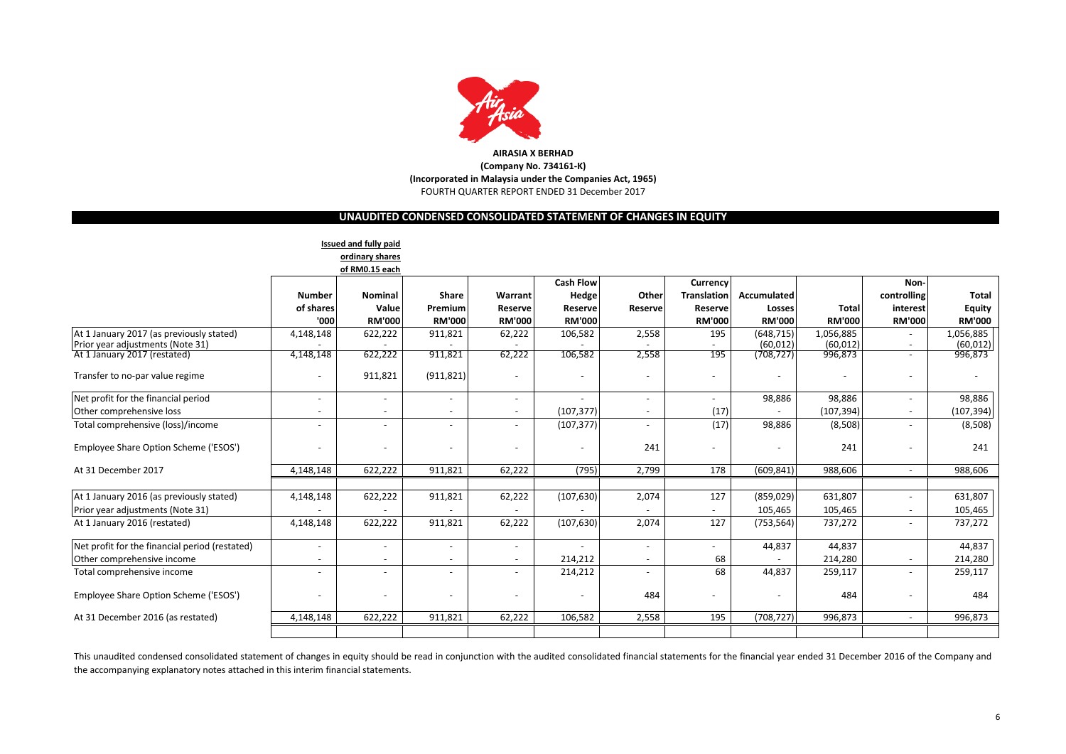

# **UNAUDITED CONDENSED CONSOLIDATED STATEMENT OF CHANGES IN EQUITY**

|                                                |                          | Issued and fully paid    |                          |                          |                  |                          |                          |               |               |                              |               |
|------------------------------------------------|--------------------------|--------------------------|--------------------------|--------------------------|------------------|--------------------------|--------------------------|---------------|---------------|------------------------------|---------------|
|                                                |                          | ordinary shares          |                          |                          |                  |                          |                          |               |               |                              |               |
|                                                |                          | of RM0.15 each           |                          |                          |                  |                          |                          |               |               |                              |               |
|                                                |                          |                          |                          |                          | <b>Cash Flow</b> |                          | Currency                 |               |               | Non-                         |               |
|                                                | <b>Number</b>            | <b>Nominal</b>           | <b>Share</b>             | Warrant                  | Hedge            | Other                    | <b>Translation</b>       | Accumulated   |               | controlling                  | <b>Total</b>  |
|                                                | of shares                | Value                    | Premium                  | Reserve                  | Reserve          | Reserve                  | Reserve                  | Losses        | <b>Total</b>  | interest                     | <b>Equity</b> |
|                                                | '000                     | <b>RM'000</b>            | <b>RM'000</b>            | <b>RM'000</b>            | <b>RM'000</b>    |                          | <b>RM'000</b>            | <b>RM'000</b> | <b>RM'000</b> | <b>RM'000</b>                | <b>RM'000</b> |
| At 1 January 2017 (as previously stated)       | 4,148,148                | 622,222                  | 911,821                  | 62,222                   | 106,582          | 2,558                    | 195                      | (648, 715)    | 1,056,885     | ٠                            | 1,056,885     |
| Prior year adjustments (Note 31)               |                          |                          |                          |                          |                  |                          |                          | (60, 012)     | (60, 012)     | $\overline{\phantom{a}}$     | (60, 012)     |
| At 1 January 2017 (restated)                   | 4,148,148                | 622,222                  | 911,821                  | 62,222                   | 106,582          | 2,558                    | 195                      | (708, 727)    | 996,873       | $\overline{\phantom{a}}$     | 996,873       |
| Transfer to no-par value regime                | $\blacksquare$           | 911,821                  | (911, 821)               | $\overline{\phantom{a}}$ | $\overline{a}$   |                          | $\overline{\phantom{a}}$ |               |               | ۰                            |               |
| Net profit for the financial period            | $\overline{\phantom{a}}$ |                          |                          | $\overline{\phantom{a}}$ |                  | $\overline{\phantom{a}}$ |                          | 98,886        | 98,886        |                              | 98,886        |
| Other comprehensive loss                       | $\blacksquare$           | $\overline{\phantom{a}}$ | $\overline{\phantom{a}}$ | $\sim$                   | (107, 377)       | $\overline{\phantom{a}}$ | (17)                     |               | (107, 394)    | ٠                            | (107, 394)    |
| Total comprehensive (loss)/income              | $\blacksquare$           | $\overline{a}$           | $\overline{\phantom{a}}$ | $\overline{\phantom{a}}$ | (107, 377)       |                          | (17)                     | 98,886        | (8,508)       | ٠                            | (8,508)       |
| Employee Share Option Scheme ('ESOS')          | $\overline{\phantom{0}}$ | $\overline{\phantom{a}}$ |                          |                          | $\blacksquare$   | 241                      | $\overline{\phantom{a}}$ |               | 241           | ٠                            | 241           |
| At 31 December 2017                            | 4,148,148                | 622,222                  | 911,821                  | 62,222                   | (795)            | 2,799                    | 178                      | (609, 841)    | 988,606       | $\sim$                       | 988,606       |
|                                                |                          |                          |                          |                          |                  |                          |                          |               |               |                              |               |
| At 1 January 2016 (as previously stated)       | 4,148,148                | 622,222                  | 911,821                  | 62,222                   | (107, 630)       | 2,074                    | 127                      | (859, 029)    | 631,807       | ٠                            | 631,807       |
| Prior year adjustments (Note 31)               |                          |                          |                          |                          |                  |                          |                          | 105,465       | 105,465       | ۰                            | 105,465       |
| At 1 January 2016 (restated)                   | 4,148,148                | 622,222                  | 911,821                  | 62,222                   | (107, 630)       | 2,074                    | 127                      | (753, 564)    | 737,272       | $\overline{\phantom{a}}$     | 737,272       |
| Net profit for the financial period (restated) | $\overline{\phantom{a}}$ | $\overline{\phantom{a}}$ | $\overline{\phantom{a}}$ | $\sim$                   | $\overline{a}$   | $\overline{\phantom{a}}$ | $\overline{\phantom{a}}$ | 44,837        | 44,837        |                              | 44,837        |
| Other comprehensive income                     | $\blacksquare$           |                          | $\overline{\phantom{a}}$ | $\sim$                   | 214,212          | $\overline{a}$           | 68                       |               | 214,280       | $\qquad \qquad \blacksquare$ | 214,280       |
| Total comprehensive income                     | $\overline{\phantom{a}}$ | $\overline{\phantom{a}}$ | $\overline{\phantom{a}}$ | $\overline{\phantom{0}}$ | 214,212          | $\overline{\phantom{a}}$ | 68                       | 44,837        | 259,117       | ٠                            | 259,117       |
| Employee Share Option Scheme ('ESOS')          | $\overline{\phantom{0}}$ | $\overline{a}$           | $\overline{\phantom{a}}$ |                          | $\overline{a}$   | 484                      |                          |               | 484           | ٠                            | 484           |
| At 31 December 2016 (as restated)              | 4,148,148                | 622,222                  | 911,821                  | 62,222                   | 106,582          | 2,558                    | 195                      | (708, 727)    | 996,873       | $\overline{\phantom{a}}$     | 996,873       |
|                                                |                          |                          |                          |                          |                  |                          |                          |               |               |                              |               |

This unaudited condensed consolidated statement of changes in equity should be read in conjunction with the audited consolidated financial statements for the financial year ended 31 December 2016 of the Company and the accompanying explanatory notes attached in this interim financial statements.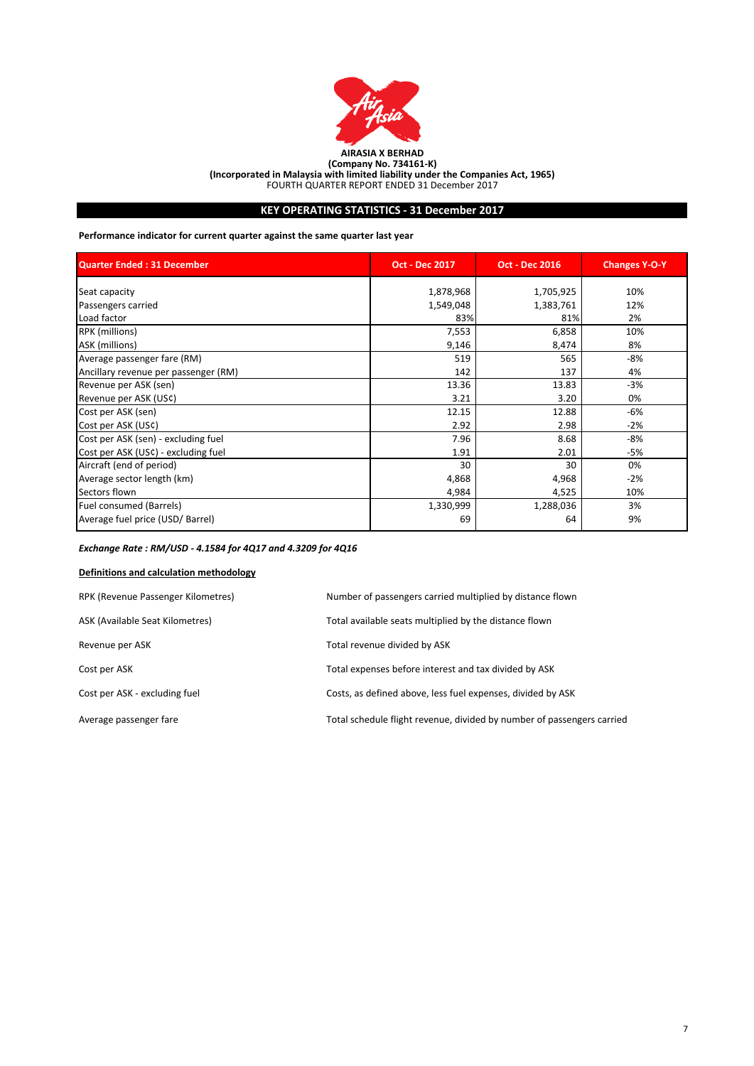

# **KEY OPERATING STATISTICS - 31 December 2017**

**Performance indicator for current quarter against the same quarter last year**

| <b>Quarter Ended: 31 December</b>    | <b>Oct - Dec 2017</b> | <b>Oct - Dec 2016</b> | <b>Changes Y-O-Y</b> |
|--------------------------------------|-----------------------|-----------------------|----------------------|
| Seat capacity                        | 1,878,968             | 1,705,925             | 10%                  |
| Passengers carried                   | 1,549,048             | 1,383,761             | 12%                  |
| Load factor                          | 83%                   | 81%                   | 2%                   |
| RPK (millions)                       | 7,553                 | 6,858                 | 10%                  |
| ASK (millions)                       | 9,146                 | 8,474                 | 8%                   |
| Average passenger fare (RM)          | 519                   | 565                   | -8%                  |
| Ancillary revenue per passenger (RM) | 142                   | 137                   | 4%                   |
| Revenue per ASK (sen)                | 13.36                 | 13.83                 | $-3%$                |
| Revenue per ASK (US¢)                | 3.21                  | 3.20                  | 0%                   |
| Cost per ASK (sen)                   | 12.15                 | 12.88                 | -6%                  |
| Cost per ASK (US¢)                   | 2.92                  | 2.98                  | $-2%$                |
| Cost per ASK (sen) - excluding fuel  | 7.96                  | 8.68                  | -8%                  |
| Cost per ASK (US¢) - excluding fuel  | 1.91                  | 2.01                  | -5%                  |
| Aircraft (end of period)             | 30                    | 30                    | 0%                   |
| Average sector length (km)           | 4,868                 | 4,968                 | $-2%$                |
| Sectors flown                        | 4,984                 | 4,525                 | 10%                  |
| Fuel consumed (Barrels)              | 1,330,999             | 1,288,036             | 3%                   |
| Average fuel price (USD/ Barrel)     | 69                    | 64                    | 9%                   |

# *Exchange Rate : RM/USD - 4.1584 for 4Q17 and 4.3209 for 4Q16*

# **Definitions and calculation methodology**

| RPK (Revenue Passenger Kilometres) | Number of passengers carried multiplied by distance flown              |
|------------------------------------|------------------------------------------------------------------------|
| ASK (Available Seat Kilometres)    | Total available seats multiplied by the distance flown                 |
| Revenue per ASK                    | Total revenue divided by ASK                                           |
| Cost per ASK                       | Total expenses before interest and tax divided by ASK                  |
| Cost per ASK - excluding fuel      | Costs, as defined above, less fuel expenses, divided by ASK            |
| Average passenger fare             | Total schedule flight revenue, divided by number of passengers carried |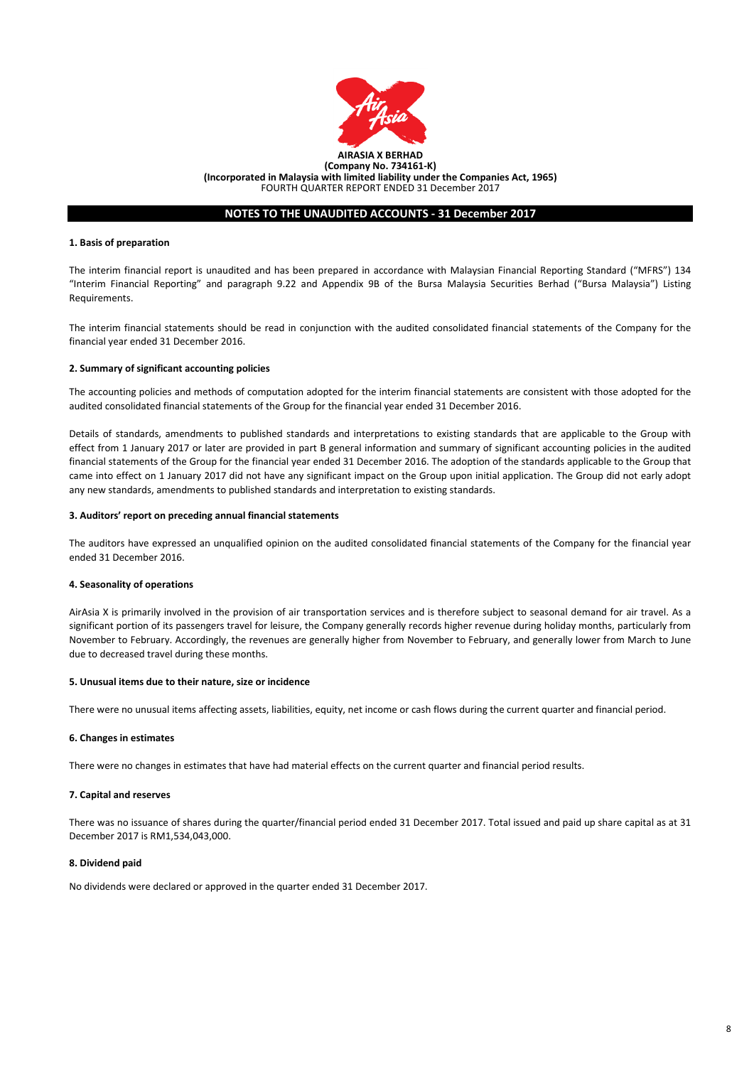

# **NOTES TO THE UNAUDITED ACCOUNTS - 31 December 2017**

### **1. Basis of preparation**

The interim financial report is unaudited and has been prepared in accordance with Malaysian Financial Reporting Standard ("MFRS") 134 "Interim Financial Reporting" and paragraph 9.22 and Appendix 9B of the Bursa Malaysia Securities Berhad ("Bursa Malaysia") Listing Requirements.

The interim financial statements should be read in conjunction with the audited consolidated financial statements of the Company for the financial year ended 31 December 2016.

#### **2. Summary of significant accounting policies**

The accounting policies and methods of computation adopted for the interim financial statements are consistent with those adopted for the audited consolidated financial statements of the Group for the financial year ended 31 December 2016.

Details of standards, amendments to published standards and interpretations to existing standards that are applicable to the Group with effect from 1 January 2017 or later are provided in part B general information and summary of significant accounting policies in the audited financial statements of the Group for the financial year ended 31 December 2016. The adoption of the standards applicable to the Group that came into effect on 1 January 2017 did not have any significant impact on the Group upon initial application. The Group did not early adopt any new standards, amendments to published standards and interpretation to existing standards.

#### **3. Auditors' report on preceding annual financial statements**

The auditors have expressed an unqualified opinion on the audited consolidated financial statements of the Company for the financial year ended 31 December 2016.

### **4. Seasonality of operations**

AirAsia X is primarily involved in the provision of air transportation services and is therefore subject to seasonal demand for air travel. As a significant portion of its passengers travel for leisure, the Company generally records higher revenue during holiday months, particularly from November to February. Accordingly, the revenues are generally higher from November to February, and generally lower from March to June due to decreased travel during these months.

#### **5. Unusual items due to their nature, size or incidence**

There were no unusual items affecting assets, liabilities, equity, net income or cash flows during the current quarter and financial period.

### **6. Changes in estimates**

There were no changes in estimates that have had material effects on the current quarter and financial period results.

### **7. Capital and reserves**

There was no issuance of shares during the quarter/financial period ended 31 December 2017. Total issued and paid up share capital as at 31 December 2017 is RM1,534,043,000.

#### **8. Dividend paid**

No dividends were declared or approved in the quarter ended 31 December 2017.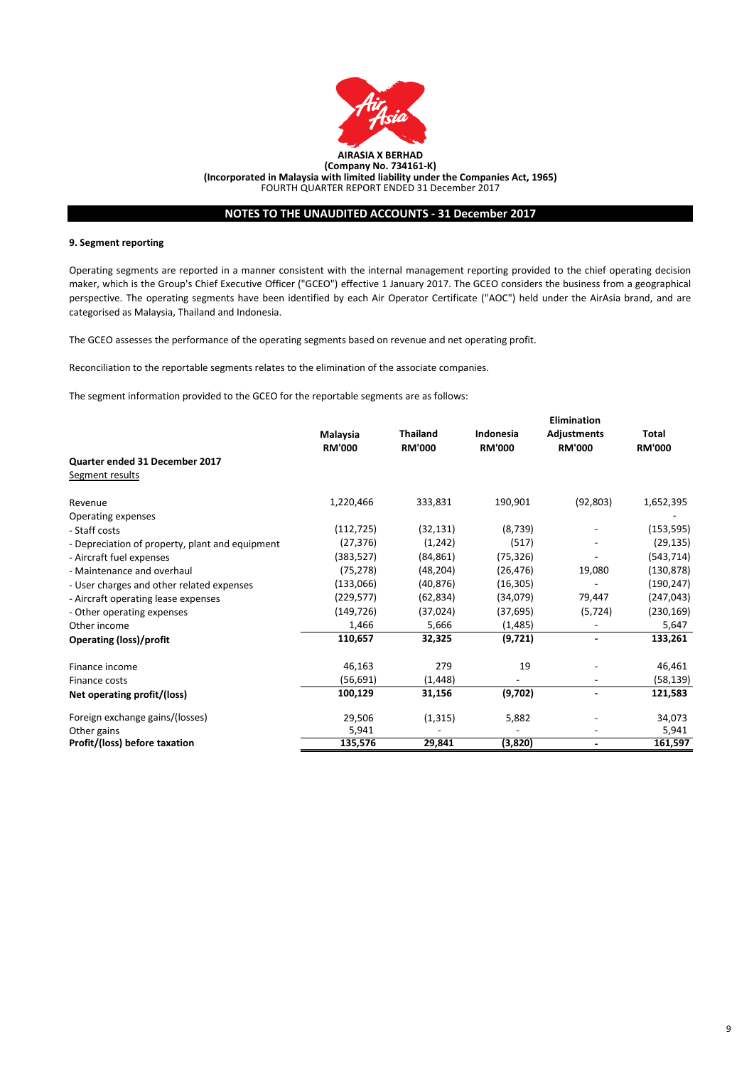

# **NOTES TO THE UNAUDITED ACCOUNTS - 31 December 2017**

### **9. Segment reporting**

Operating segments are reported in a manner consistent with the internal management reporting provided to the chief operating decision maker, which is the Group's Chief Executive Officer ("GCEO") effective 1 January 2017. The GCEO considers the business from a geographical perspective. The operating segments have been identified by each Air Operator Certificate ("AOC") held under the AirAsia brand, and are categorised as Malaysia, Thailand and Indonesia.

The GCEO assesses the performance of the operating segments based on revenue and net operating profit.

Reconciliation to the reportable segments relates to the elimination of the associate companies.

The segment information provided to the GCEO for the reportable segments are as follows:

|                                                 |               |                 |               | <b>Elimination</b> |               |  |
|-------------------------------------------------|---------------|-----------------|---------------|--------------------|---------------|--|
|                                                 | Malaysia      | <b>Thailand</b> | Indonesia     | <b>Adjustments</b> | Total         |  |
|                                                 | <b>RM'000</b> | <b>RM'000</b>   | <b>RM'000</b> | <b>RM'000</b>      | <b>RM'000</b> |  |
| Quarter ended 31 December 2017                  |               |                 |               |                    |               |  |
| Segment results                                 |               |                 |               |                    |               |  |
| Revenue                                         | 1,220,466     | 333,831         | 190,901       | (92, 803)          | 1,652,395     |  |
| Operating expenses                              |               |                 |               |                    |               |  |
| - Staff costs                                   | (112, 725)    | (32, 131)       | (8, 739)      |                    | (153, 595)    |  |
| - Depreciation of property, plant and equipment | (27, 376)     | (1, 242)        | (517)         |                    | (29, 135)     |  |
| - Aircraft fuel expenses                        | (383, 527)    | (84, 861)       | (75, 326)     |                    | (543, 714)    |  |
| - Maintenance and overhaul                      | (75, 278)     | (48, 204)       | (26, 476)     | 19,080             | (130, 878)    |  |
| - User charges and other related expenses       | (133,066)     | (40, 876)       | (16, 305)     |                    | (190, 247)    |  |
| - Aircraft operating lease expenses             | (229, 577)    | (62, 834)       | (34,079)      | 79,447             | (247, 043)    |  |
| - Other operating expenses                      | (149, 726)    | (37, 024)       | (37, 695)     | (5, 724)           | (230, 169)    |  |
| Other income                                    | 1,466         | 5,666           | (1, 485)      |                    | 5,647         |  |
| <b>Operating (loss)/profit</b>                  | 110,657       | 32,325          | (9,721)       |                    | 133,261       |  |
| Finance income                                  | 46,163        | 279             | 19            |                    | 46,461        |  |
| Finance costs                                   | (56,691)      | (1, 448)        |               |                    | (58,139)      |  |
| Net operating profit/(loss)                     | 100,129       | 31,156          | (9,702)       | ٠                  | 121,583       |  |
| Foreign exchange gains/(losses)                 | 29,506        | (1, 315)        | 5,882         |                    | 34,073        |  |
| Other gains                                     | 5,941         |                 |               |                    | 5,941         |  |
| Profit/(loss) before taxation                   | 135,576       | 29,841          | (3,820)       | ٠                  | 161,597       |  |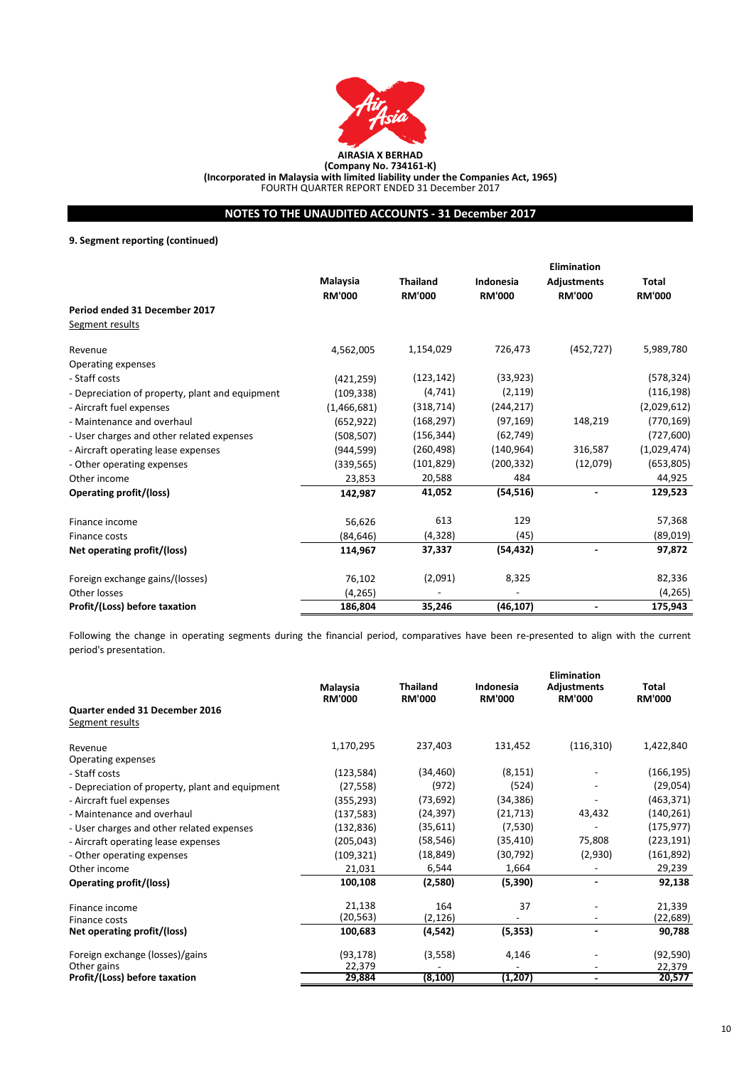

**AIRASIA X BERHAD (Company No. 734161-K)**

**(Incorporated in Malaysia with limited liability under the Companies Act, 1965)**

FOURTH QUARTER REPORT ENDED 31 December 2017

# **NOTES TO THE UNAUDITED ACCOUNTS - 31 December 2017**

**9. Segment reporting (continued)**

|                                                 |               |                 |               | <b>Elimination</b> |               |
|-------------------------------------------------|---------------|-----------------|---------------|--------------------|---------------|
|                                                 | Malaysia      | <b>Thailand</b> | Indonesia     | <b>Adjustments</b> | Total         |
|                                                 | <b>RM'000</b> | <b>RM'000</b>   | <b>RM'000</b> | <b>RM'000</b>      | <b>RM'000</b> |
| Period ended 31 December 2017                   |               |                 |               |                    |               |
| Segment results                                 |               |                 |               |                    |               |
| Revenue                                         | 4,562,005     | 1,154,029       | 726,473       | (452, 727)         | 5,989,780     |
| Operating expenses                              |               |                 |               |                    |               |
| - Staff costs                                   | (421, 259)    | (123, 142)      | (33, 923)     |                    | (578, 324)    |
| - Depreciation of property, plant and equipment | (109, 338)    | (4, 741)        | (2, 119)      |                    | (116, 198)    |
| - Aircraft fuel expenses                        | (1,466,681)   | (318, 714)      | (244, 217)    |                    | (2,029,612)   |
| - Maintenance and overhaul                      | (652, 922)    | (168, 297)      | (97, 169)     | 148,219            | (770, 169)    |
| - User charges and other related expenses       | (508, 507)    | (156, 344)      | (62, 749)     |                    | (727, 600)    |
| - Aircraft operating lease expenses             | (944, 599)    | (260, 498)      | (140, 964)    | 316,587            | (1,029,474)   |
| - Other operating expenses                      | (339, 565)    | (101, 829)      | (200, 332)    | (12,079)           | (653, 805)    |
| Other income                                    | 23,853        | 20,588          | 484           |                    | 44,925        |
| Operating profit/(loss)                         | 142,987       | 41,052          | (54, 516)     |                    | 129,523       |
| Finance income                                  | 56,626        | 613             | 129           |                    | 57,368        |
| Finance costs                                   | (84, 646)     | (4, 328)        | (45)          |                    | (89,019)      |
| Net operating profit/(loss)                     | 114,967       | 37,337          | (54, 432)     |                    | 97,872        |
| Foreign exchange gains/(losses)                 | 76,102        | (2,091)         | 8,325         |                    | 82,336        |
| Other losses                                    | (4, 265)      |                 |               |                    | (4, 265)      |
| Profit/(Loss) before taxation                   | 186,804       | 35,246          | (46, 107)     |                    | 175,943       |

Following the change in operating segments during the financial period, comparatives have been re-presented to align with the current period's presentation.

|                                                   | Malaysia<br><b>RM'000</b> | <b>Thailand</b><br><b>RM'000</b> | Indonesia<br><b>RM'000</b> | Elimination<br><b>Adjustments</b><br><b>RM'000</b> | Total<br><b>RM'000</b> |
|---------------------------------------------------|---------------------------|----------------------------------|----------------------------|----------------------------------------------------|------------------------|
| Quarter ended 31 December 2016<br>Segment results |                           |                                  |                            |                                                    |                        |
| Revenue                                           | 1,170,295                 | 237,403                          | 131,452                    | (116, 310)                                         | 1,422,840              |
| Operating expenses                                |                           |                                  |                            |                                                    |                        |
| - Staff costs                                     | (123, 584)                | (34, 460)                        | (8, 151)                   |                                                    | (166, 195)             |
| - Depreciation of property, plant and equipment   | (27, 558)                 | (972)                            | (524)                      |                                                    | (29,054)               |
| - Aircraft fuel expenses                          | (355, 293)                | (73, 692)                        | (34, 386)                  |                                                    | (463, 371)             |
| - Maintenance and overhaul                        | (137, 583)                | (24, 397)                        | (21, 713)                  | 43,432                                             | (140, 261)             |
| - User charges and other related expenses         | (132, 836)                | (35, 611)                        | (7,530)                    |                                                    | (175, 977)             |
| - Aircraft operating lease expenses               | (205, 043)                | (58, 546)                        | (35, 410)                  | 75,808                                             | (223,191)              |
| - Other operating expenses                        | (109, 321)                | (18, 849)                        | (30, 792)                  | (2,930)                                            | (161, 892)             |
| Other income                                      | 21,031                    | 6,544                            | 1,664                      |                                                    | 29,239                 |
| Operating profit/(loss)                           | 100,108                   | (2,580)                          | (5,390)                    |                                                    | 92,138                 |
| Finance income                                    | 21,138                    | 164                              | 37                         |                                                    | 21,339                 |
| Finance costs                                     | (20,563)                  | (2, 126)                         |                            |                                                    | (22, 689)              |
| Net operating profit/(loss)                       | 100,683                   | (4, 542)                         | (5, 353)                   | $\blacksquare$                                     | 90,788                 |
| Foreign exchange (losses)/gains                   | (93, 178)                 | (3, 558)                         | 4,146                      |                                                    | (92, 590)              |
| Other gains                                       | 22,379                    |                                  |                            |                                                    | 22,379                 |
| Profit/(Loss) before taxation                     | 29,884                    | (8, 100)                         | (1, 207)                   |                                                    | 20,577                 |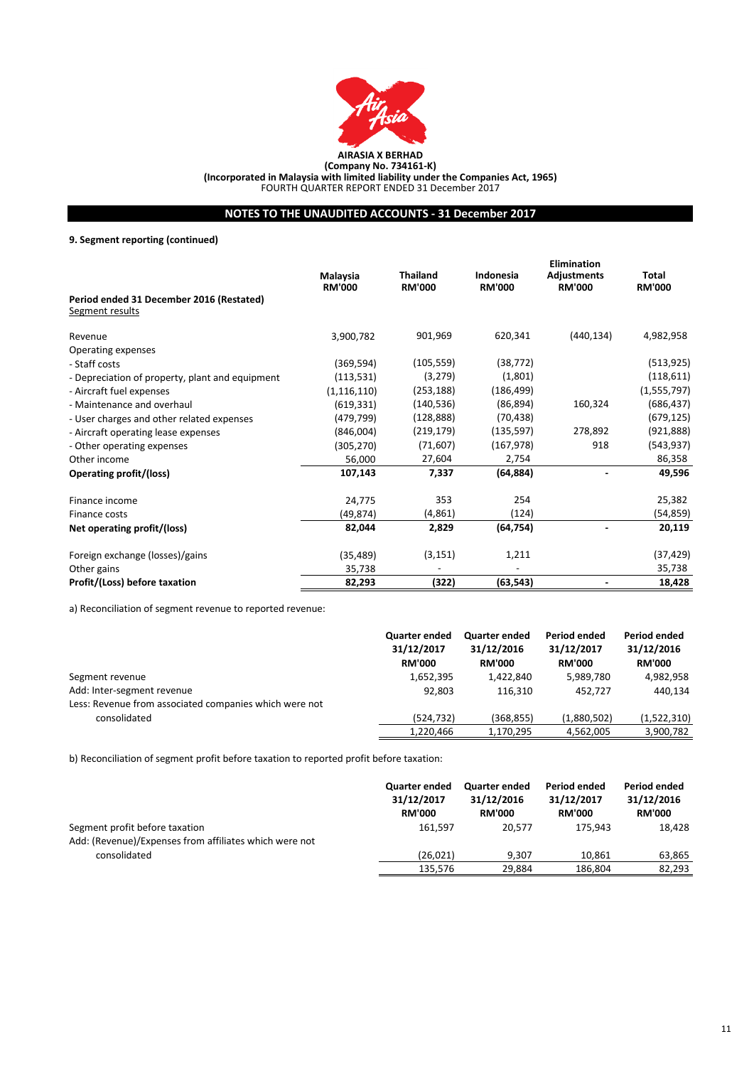

**(Company No. 734161-K)**

**(Incorporated in Malaysia with limited liability under the Companies Act, 1965)** FOURTH QUARTER REPORT ENDED 31 December 2017

# **NOTES TO THE UNAUDITED ACCOUNTS - 31 December 2017**

**9. Segment reporting (continued)**

|                                                             |                           |                                  | <b>Elimination</b>         |                                     |                        |  |
|-------------------------------------------------------------|---------------------------|----------------------------------|----------------------------|-------------------------------------|------------------------|--|
|                                                             | Malaysia<br><b>RM'000</b> | <b>Thailand</b><br><b>RM'000</b> | Indonesia<br><b>RM'000</b> | <b>Adjustments</b><br><b>RM'000</b> | Total<br><b>RM'000</b> |  |
| Period ended 31 December 2016 (Restated)<br>Segment results |                           |                                  |                            |                                     |                        |  |
| Revenue                                                     | 3,900,782                 | 901,969                          | 620,341                    | (440, 134)                          | 4,982,958              |  |
| Operating expenses                                          |                           |                                  |                            |                                     |                        |  |
| - Staff costs                                               | (369, 594)                | (105, 559)                       | (38, 772)                  |                                     | (513, 925)             |  |
| - Depreciation of property, plant and equipment             | (113, 531)                | (3, 279)                         | (1,801)                    |                                     | (118, 611)             |  |
| - Aircraft fuel expenses                                    | (1, 116, 110)             | (253, 188)                       | (186, 499)                 |                                     | (1, 555, 797)          |  |
| - Maintenance and overhaul                                  | (619, 331)                | (140, 536)                       | (86, 894)                  | 160,324                             | (686, 437)             |  |
| - User charges and other related expenses                   | (479, 799)                | (128, 888)                       | (70, 438)                  |                                     | (679, 125)             |  |
| - Aircraft operating lease expenses                         | (846,004)                 | (219, 179)                       | (135, 597)                 | 278,892                             | (921, 888)             |  |
| - Other operating expenses                                  | (305, 270)                | (71,607)                         | (167, 978)                 | 918                                 | (543,937)              |  |
| Other income                                                | 56,000                    | 27,604                           | 2,754                      |                                     | 86,358                 |  |
| Operating profit/(loss)                                     | 107,143                   | 7,337                            | (64, 884)                  |                                     | 49,596                 |  |
| Finance income                                              | 24,775                    | 353                              | 254                        |                                     | 25,382                 |  |
| Finance costs                                               | (49, 874)                 | (4,861)                          | (124)                      |                                     | (54, 859)              |  |
| Net operating profit/(loss)                                 | 82,044                    | 2,829                            | (64, 754)                  |                                     | 20,119                 |  |
| Foreign exchange (losses)/gains                             | (35, 489)                 | (3, 151)                         | 1,211                      |                                     | (37,429)               |  |
| Other gains                                                 | 35,738                    |                                  |                            |                                     | 35,738                 |  |
| Profit/(Loss) before taxation                               | 82,293                    | (322)                            | (63, 543)                  |                                     | 18,428                 |  |

a) Reconciliation of segment revenue to reported revenue:

|                                                        | <b>Quarter ended</b><br>31/12/2017<br><b>RM'000</b> | <b>Quarter ended</b><br>31/12/2016<br><b>RM'000</b> | <b>Period ended</b><br>31/12/2017<br><b>RM'000</b> | Period ended<br>31/12/2016<br><b>RM'000</b> |
|--------------------------------------------------------|-----------------------------------------------------|-----------------------------------------------------|----------------------------------------------------|---------------------------------------------|
| Segment revenue                                        | 1,652,395                                           | 1.422.840                                           | 5,989,780                                          | 4,982,958                                   |
| Add: Inter-segment revenue                             | 92.803                                              | 116.310                                             | 452.727                                            | 440,134                                     |
| Less: Revenue from associated companies which were not |                                                     |                                                     |                                                    |                                             |
| consolidated                                           | (524.732)                                           | (368, 855)                                          | (1,880,502)                                        | (1,522,310)                                 |
|                                                        | 1,220,466                                           | 1,170,295                                           | 4,562,005                                          | 3,900,782                                   |

b) Reconciliation of segment profit before taxation to reported profit before taxation:

|                                                        | Quarter ended<br>31/12/2017<br><b>RM'000</b> | <b>Quarter ended</b><br>31/12/2016<br><b>RM'000</b> | Period ended<br>31/12/2017<br><b>RM'000</b> | Period ended<br>31/12/2016<br><b>RM'000</b> |
|--------------------------------------------------------|----------------------------------------------|-----------------------------------------------------|---------------------------------------------|---------------------------------------------|
| Segment profit before taxation                         | 161.597                                      | 20.577                                              | 175.943                                     | 18.428                                      |
| Add: (Revenue)/Expenses from affiliates which were not |                                              |                                                     |                                             |                                             |
| consolidated                                           | (26, 021)                                    | 9.307                                               | 10.861                                      | 63,865                                      |
|                                                        | 135,576                                      | 29.884                                              | 186,804                                     | 82,293                                      |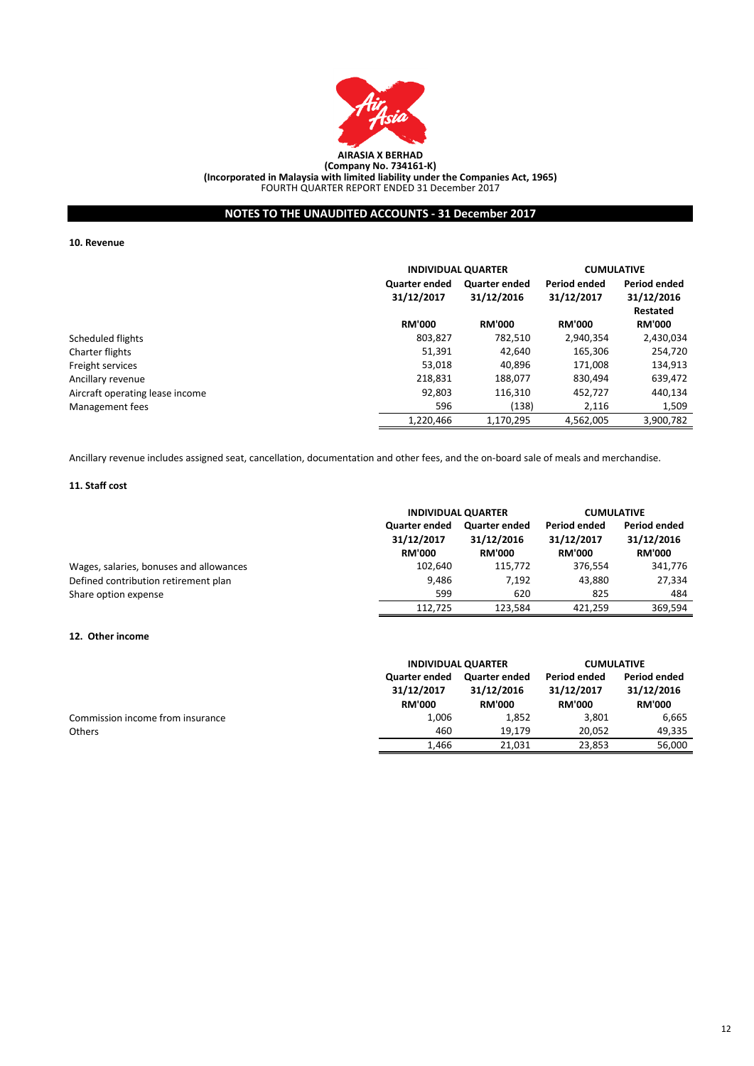

**NOTES TO THE UNAUDITED ACCOUNTS - 31 December 2017**

**10. Revenue**

|                                 |                                    | <b>INDIVIDUAL QUARTER</b>                                        |               | <b>CUMULATIVE</b>                                    |
|---------------------------------|------------------------------------|------------------------------------------------------------------|---------------|------------------------------------------------------|
|                                 | <b>Quarter ended</b><br>31/12/2017 | Period ended<br><b>Quarter ended</b><br>31/12/2016<br>31/12/2017 |               | <b>Period ended</b><br>31/12/2016<br><b>Restated</b> |
|                                 | <b>RM'000</b>                      | <b>RM'000</b>                                                    | <b>RM'000</b> | <b>RM'000</b>                                        |
| Scheduled flights               | 803,827                            | 782,510                                                          | 2,940,354     | 2,430,034                                            |
| Charter flights                 | 51,391                             | 42.640                                                           | 165.306       | 254.720                                              |
| Freight services                | 53,018                             | 40,896                                                           | 171.008       | 134,913                                              |
| Ancillary revenue               | 218,831                            | 188.077                                                          | 830.494       | 639,472                                              |
| Aircraft operating lease income | 92,803                             | 116,310                                                          | 452.727       | 440,134                                              |
| Management fees                 | 596                                | (138)                                                            | 2.116         | 1,509                                                |
|                                 | 1.220.466                          | 1.170.295                                                        | 4.562.005     | 3,900,782                                            |

Ancillary revenue includes assigned seat, cancellation, documentation and other fees, and the on-board sale of meals and merchandise.

### **11. Staff cost**

|                                         | <b>INDIVIDUAL QUARTER</b>                           |                                                     | <b>CUMULATIVE</b>                           |                                             |
|-----------------------------------------|-----------------------------------------------------|-----------------------------------------------------|---------------------------------------------|---------------------------------------------|
|                                         | <b>Quarter ended</b><br>31/12/2017<br><b>RM'000</b> | <b>Quarter ended</b><br>31/12/2016<br><b>RM'000</b> | Period ended<br>31/12/2017<br><b>RM'000</b> | Period ended<br>31/12/2016<br><b>RM'000</b> |
| Wages, salaries, bonuses and allowances | 102.640                                             | 115.772                                             | 376.554                                     | 341.776                                     |
| Defined contribution retirement plan    | 9,486                                               | 7.192                                               | 43.880                                      | 27,334                                      |
| Share option expense                    | 599                                                 | 620                                                 | 825                                         | 484                                         |
|                                         | 112.725                                             | 123.584                                             | 421.259                                     | 369.594                                     |

### **12. Other income**

|                                  |                                                     | <b>INDIVIDUAL QUARTER</b>                           |                                             | <b>CUMULATIVE</b>                           |  |
|----------------------------------|-----------------------------------------------------|-----------------------------------------------------|---------------------------------------------|---------------------------------------------|--|
|                                  | <b>Quarter ended</b><br>31/12/2017<br><b>RM'000</b> | <b>Quarter ended</b><br>31/12/2016<br><b>RM'000</b> | Period ended<br>31/12/2017<br><b>RM'000</b> | Period ended<br>31/12/2016<br><b>RM'000</b> |  |
| Commission income from insurance | 1.006                                               | 1,852                                               | 3,801                                       | 6.665                                       |  |
| <b>Others</b>                    | 460                                                 | 19.179                                              | 20.052                                      | 49,335                                      |  |
|                                  | 1.466                                               | 21,031                                              | 23,853                                      | 56.000                                      |  |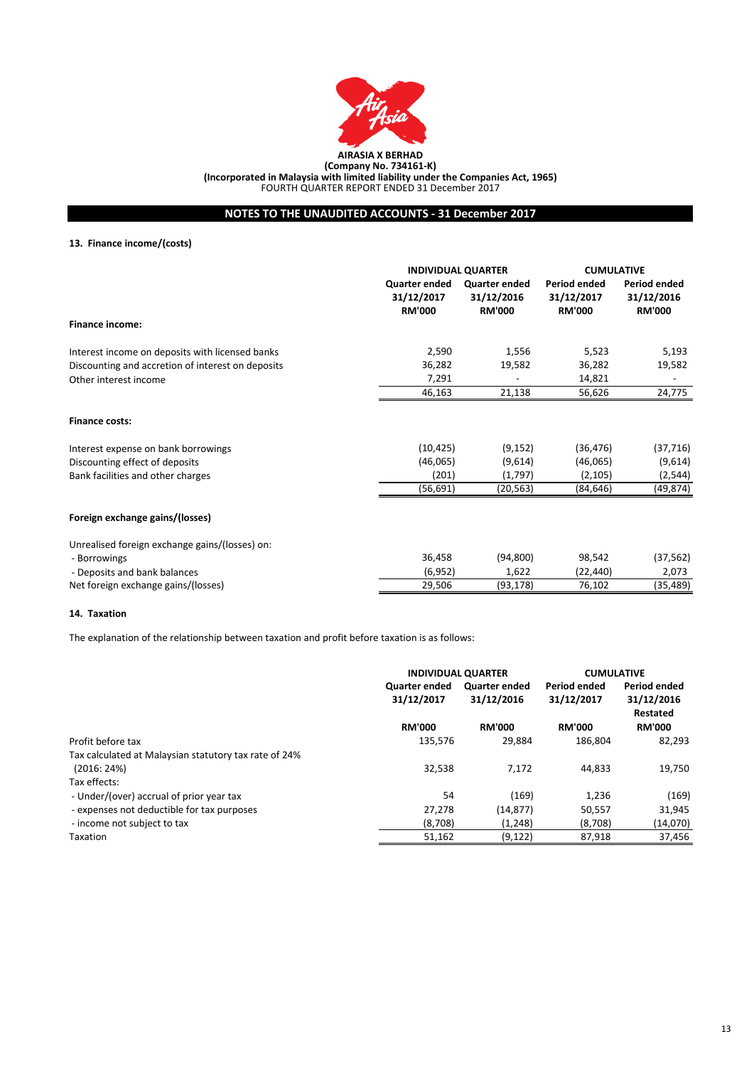

**NOTES TO THE UNAUDITED ACCOUNTS - 31 December 2017**

# **13. Finance income/(costs)**

|                                                   |                                              | <b>INDIVIDUAL QUARTER</b>                    |                                             | <b>CUMULATIVE</b>                                  |
|---------------------------------------------------|----------------------------------------------|----------------------------------------------|---------------------------------------------|----------------------------------------------------|
|                                                   | Quarter ended<br>31/12/2017<br><b>RM'000</b> | Quarter ended<br>31/12/2016<br><b>RM'000</b> | Period ended<br>31/12/2017<br><b>RM'000</b> | <b>Period ended</b><br>31/12/2016<br><b>RM'000</b> |
| <b>Finance income:</b>                            |                                              |                                              |                                             |                                                    |
| Interest income on deposits with licensed banks   | 2,590                                        | 1,556                                        | 5,523                                       | 5,193                                              |
| Discounting and accretion of interest on deposits | 36,282                                       | 19,582                                       | 36,282                                      | 19,582                                             |
| Other interest income                             | 7,291                                        |                                              | 14,821                                      | $\overline{a}$                                     |
|                                                   | 46,163                                       | 21,138                                       | 56,626                                      | 24,775                                             |
| <b>Finance costs:</b>                             |                                              |                                              |                                             |                                                    |
| Interest expense on bank borrowings               | (10, 425)                                    | (9, 152)                                     | (36, 476)                                   | (37, 716)                                          |
| Discounting effect of deposits                    | (46,065)                                     | (9,614)                                      | (46,065)                                    | (9,614)                                            |
| Bank facilities and other charges                 | (201)                                        | (1,797)                                      | (2, 105)                                    | (2, 544)                                           |
|                                                   | (56, 691)                                    | (20, 563)                                    | (84,646)                                    | (49, 874)                                          |
| Foreign exchange gains/(losses)                   |                                              |                                              |                                             |                                                    |
| Unrealised foreign exchange gains/(losses) on:    |                                              |                                              |                                             |                                                    |
| - Borrowings                                      | 36,458                                       | (94, 800)                                    | 98,542                                      | (37, 562)                                          |
| - Deposits and bank balances                      | (6, 952)                                     | 1,622                                        | (22,440)                                    | 2,073                                              |
| Net foreign exchange gains/(losses)               | 29,506                                       | (93, 178)                                    | 76,102                                      | (35,489)                                           |

### **14. Taxation**

The explanation of the relationship between taxation and profit before taxation is as follows:

| <b>INDIVIDUAL QUARTER</b>          |                                                                         | <b>CUMULATIVE</b> |                                               |  |  |
|------------------------------------|-------------------------------------------------------------------------|-------------------|-----------------------------------------------|--|--|
| <b>Quarter ended</b><br>31/12/2017 | <b>Period ended</b><br><b>Quarter ended</b><br>31/12/2016<br>31/12/2017 |                   | Period ended<br>31/12/2016<br><b>Restated</b> |  |  |
| <b>RM'000</b>                      | <b>RM'000</b>                                                           | <b>RM'000</b>     | <b>RM'000</b>                                 |  |  |
| 135.576                            | 29.884                                                                  | 186.804           | 82.293                                        |  |  |
|                                    |                                                                         |                   |                                               |  |  |
| 32,538                             | 7.172                                                                   | 44.833            | 19.750                                        |  |  |
|                                    |                                                                         |                   |                                               |  |  |
| 54                                 | (169)                                                                   | 1.236             | (169)                                         |  |  |
| 27,278                             | (14, 877)                                                               | 50,557            | 31,945                                        |  |  |
| (8,708)                            | (1,248)                                                                 | (8,708)           | (14,070)                                      |  |  |
| 51,162                             | (9, 122)                                                                | 87,918            | 37,456                                        |  |  |
|                                    |                                                                         |                   |                                               |  |  |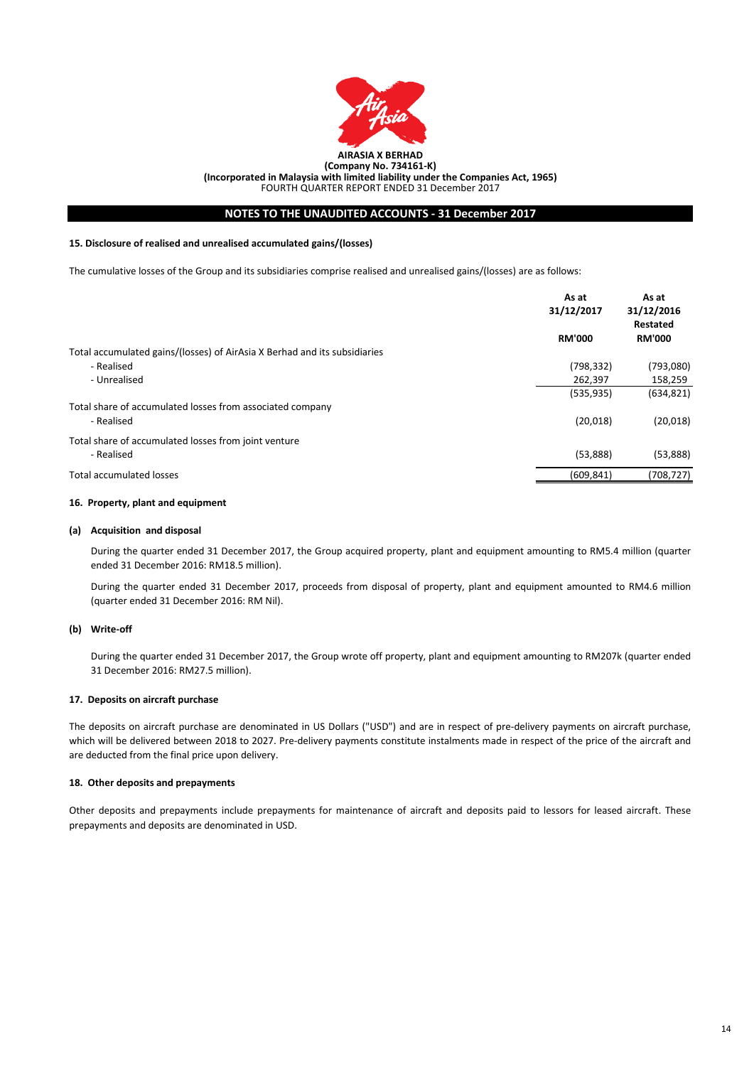

# **NOTES TO THE UNAUDITED ACCOUNTS - 31 December 2017**

### **15. Disclosure of realised and unrealised accumulated gains/(losses)**

The cumulative losses of the Group and its subsidiaries comprise realised and unrealised gains/(losses) are as follows:

|                                                                           | As at<br>31/12/2017 | As at<br>31/12/2016<br>Restated |
|---------------------------------------------------------------------------|---------------------|---------------------------------|
|                                                                           | <b>RM'000</b>       | <b>RM'000</b>                   |
| Total accumulated gains/(losses) of AirAsia X Berhad and its subsidiaries |                     |                                 |
| - Realised                                                                | (798, 332)          | (793,080)                       |
| - Unrealised                                                              | 262,397             | 158,259                         |
|                                                                           | (535, 935)          | (634, 821)                      |
| Total share of accumulated losses from associated company                 |                     |                                 |
| - Realised                                                                | (20,018)            | (20,018)                        |
| Total share of accumulated losses from joint venture                      |                     |                                 |
| - Realised                                                                | (53,888)            | (53,888)                        |
| <b>Total accumulated losses</b>                                           | (609, 841)          | (708,727)                       |

### **16. Property, plant and equipment**

#### **(a) Acquisition and disposal**

During the quarter ended 31 December 2017, the Group acquired property, plant and equipment amounting to RM5.4 million (quarter ended 31 December 2016: RM18.5 million).

During the quarter ended 31 December 2017, proceeds from disposal of property, plant and equipment amounted to RM4.6 million (quarter ended 31 December 2016: RM Nil).

### **(b) Write-off**

During the quarter ended 31 December 2017, the Group wrote off property, plant and equipment amounting to RM207k (quarter ended 31 December 2016: RM27.5 million).

#### **17. Deposits on aircraft purchase**

The deposits on aircraft purchase are denominated in US Dollars ("USD") and are in respect of pre-delivery payments on aircraft purchase, which will be delivered between 2018 to 2027. Pre-delivery payments constitute instalments made in respect of the price of the aircraft and are deducted from the final price upon delivery.

### **18. Other deposits and prepayments**

Other deposits and prepayments include prepayments for maintenance of aircraft and deposits paid to lessors for leased aircraft. These prepayments and deposits are denominated in USD.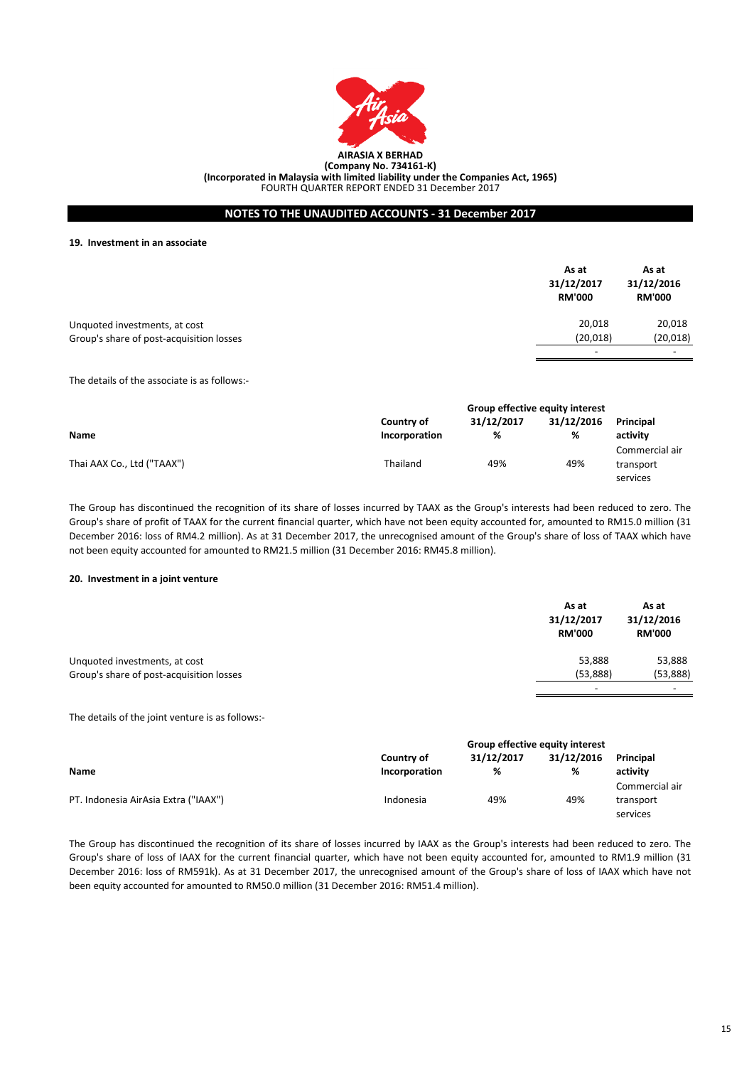

# **NOTES TO THE UNAUDITED ACCOUNTS - 31 December 2017**

**19. Investment in an associate**

|                                          | As at<br>31/12/2017<br><b>RM'000</b> | As at<br>31/12/2016<br><b>RM'000</b> |
|------------------------------------------|--------------------------------------|--------------------------------------|
| Unquoted investments, at cost            | 20,018                               | 20,018                               |
| Group's share of post-acquisition losses | (20, 018)                            | (20, 018)                            |
|                                          | $\overline{\phantom{0}}$             | -                                    |

The details of the associate is as follows:-

|                            | <b>Group effective equity interest</b> |            |            |                |  |
|----------------------------|----------------------------------------|------------|------------|----------------|--|
|                            | Country of                             | 31/12/2017 | 31/12/2016 | Principal      |  |
| <b>Name</b>                | Incorporation                          | %          | %          | activity       |  |
|                            |                                        |            |            | Commercial air |  |
| Thai AAX Co., Ltd ("TAAX") | Thailand                               | 49%        | 49%        | transport      |  |
|                            |                                        |            |            | services       |  |

The Group has discontinued the recognition of its share of losses incurred by TAAX as the Group's interests had been reduced to zero. The Group's share of profit of TAAX for the current financial quarter, which have not been equity accounted for, amounted to RM15.0 million (31 December 2016: loss of RM4.2 million). As at 31 December 2017, the unrecognised amount of the Group's share of loss of TAAX which have not been equity accounted for amounted to RM21.5 million (31 December 2016: RM45.8 million).

### **20. Investment in a joint venture**

|                                          | As at<br>31/12/2017<br><b>RM'000</b> | As at<br>31/12/2016<br><b>RM'000</b> |
|------------------------------------------|--------------------------------------|--------------------------------------|
| Unquoted investments, at cost            | 53,888                               | 53,888                               |
| Group's share of post-acquisition losses | (53,888)                             | (53,888)                             |
|                                          | $\overline{\phantom{a}}$             |                                      |

The details of the joint venture is as follows:-

|                                      | Group effective equity interest |            |            |                |
|--------------------------------------|---------------------------------|------------|------------|----------------|
|                                      | Country of                      | 31/12/2017 | 31/12/2016 | Principal      |
| Name                                 | Incorporation                   | %          | %          | activity       |
|                                      |                                 |            |            | Commercial air |
| PT. Indonesia AirAsia Extra ("IAAX") | Indonesia                       | 49%        | 49%        | transport      |
|                                      |                                 |            |            | services       |

The Group has discontinued the recognition of its share of losses incurred by IAAX as the Group's interests had been reduced to zero. The Group's share of loss of IAAX for the current financial quarter, which have not been equity accounted for, amounted to RM1.9 million (31 December 2016: loss of RM591k). As at 31 December 2017, the unrecognised amount of the Group's share of loss of IAAX which have not been equity accounted for amounted to RM50.0 million (31 December 2016: RM51.4 million).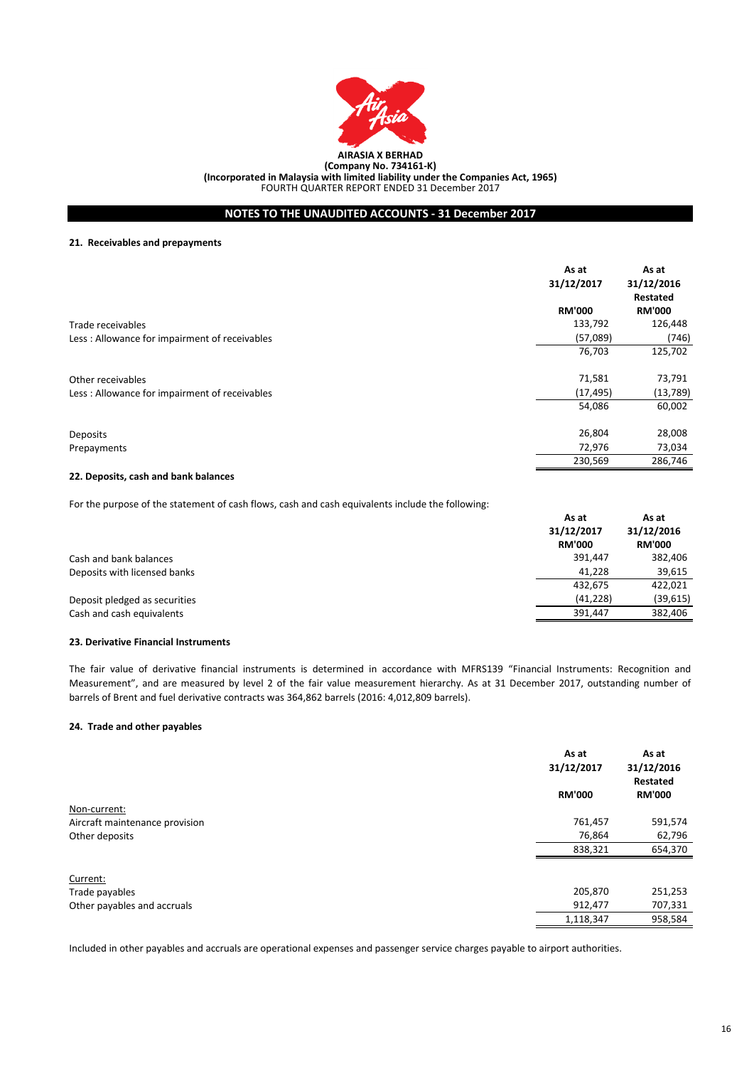

# **NOTES TO THE UNAUDITED ACCOUNTS - 31 December 2017**

### **21. Receivables and prepayments**

|                                                | As at         | As at         |
|------------------------------------------------|---------------|---------------|
|                                                | 31/12/2017    | 31/12/2016    |
|                                                |               | Restated      |
|                                                | <b>RM'000</b> | <b>RM'000</b> |
| Trade receivables                              | 133,792       | 126,448       |
| Less: Allowance for impairment of receivables  | (57,089)      | (746)         |
|                                                | 76,703        | 125,702       |
| Other receivables                              | 71,581        | 73,791        |
| Less : Allowance for impairment of receivables | (17, 495)     | (13,789)      |
|                                                | 54,086        | 60,002        |
| <b>Deposits</b>                                | 26,804        | 28,008        |
| Prepayments                                    | 72,976        | 73,034        |
|                                                | 230,569       | 286,746       |

### **22. Deposits, cash and bank balances**

For the purpose of the statement of cash flows, cash and cash equivalents include the following:

|                               | As at<br>31/12/2017<br><b>RM'000</b> | As at<br>31/12/2016<br><b>RM'000</b> |
|-------------------------------|--------------------------------------|--------------------------------------|
| Cash and bank balances        | 391,447                              | 382,406                              |
| Deposits with licensed banks  | 41.228                               | 39,615                               |
|                               | 432.675                              | 422.021                              |
| Deposit pledged as securities | (41, 228)                            | (39, 615)                            |
| Cash and cash equivalents     | 391,447                              | 382,406                              |

### **23. Derivative Financial Instruments**

The fair value of derivative financial instruments is determined in accordance with MFRS139 "Financial Instruments: Recognition and Measurement", and are measured by level 2 of the fair value measurement hierarchy. As at 31 December 2017, outstanding number of barrels of Brent and fuel derivative contracts was 364,862 barrels (2016: 4,012,809 barrels).

# **24. Trade and other payables**

|                                | As at<br>31/12/2017 | As at<br>31/12/2016<br>Restated |
|--------------------------------|---------------------|---------------------------------|
|                                | <b>RM'000</b>       | <b>RM'000</b>                   |
| Non-current:                   |                     |                                 |
| Aircraft maintenance provision | 761,457             | 591,574                         |
| Other deposits                 | 76,864              | 62,796                          |
|                                | 838,321             | 654,370                         |
| Current:                       |                     |                                 |
| Trade payables                 | 205,870             | 251,253                         |
| Other payables and accruals    | 912,477             | 707,331                         |
|                                | 1,118,347           | 958,584                         |

Included in other payables and accruals are operational expenses and passenger service charges payable to airport authorities.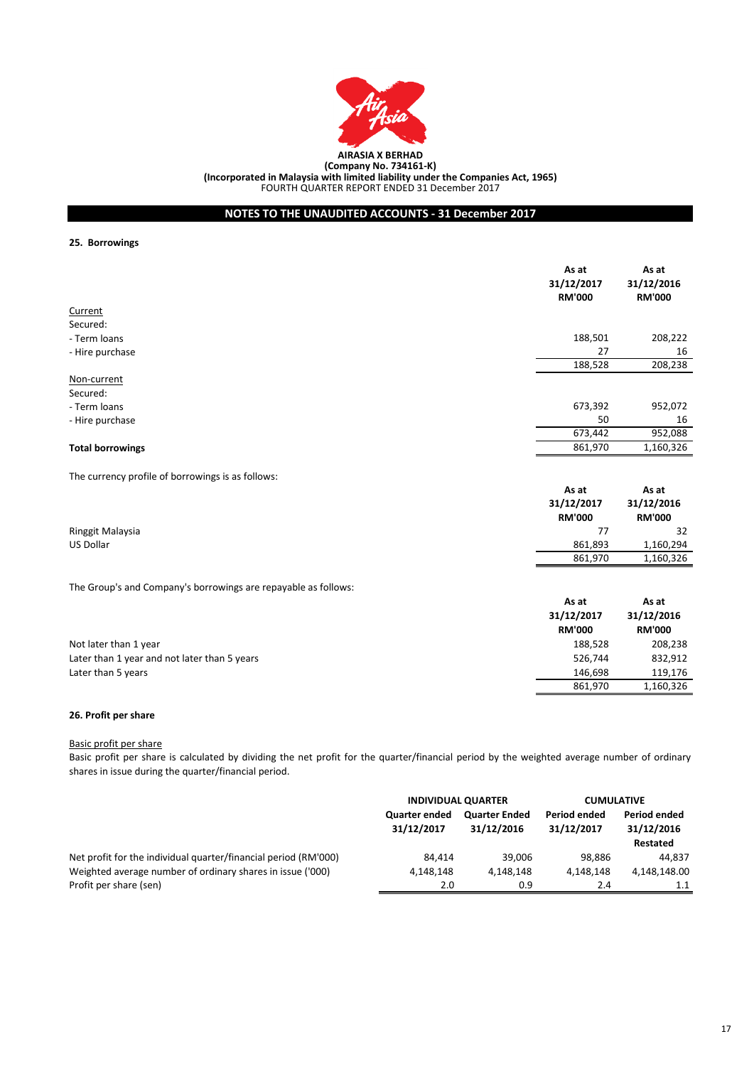

**NOTES TO THE UNAUDITED ACCOUNTS - 31 December 2017**

**25. Borrowings**

|                                                   | As at<br>31/12/2017<br><b>RM'000</b> | As at<br>31/12/2016<br><b>RM'000</b> |
|---------------------------------------------------|--------------------------------------|--------------------------------------|
| Current                                           |                                      |                                      |
| Secured:                                          |                                      |                                      |
| - Term loans                                      | 188,501                              | 208,222                              |
| - Hire purchase                                   | 27                                   | 16                                   |
|                                                   | 188,528                              | 208,238                              |
| Non-current                                       |                                      |                                      |
| Secured:                                          |                                      |                                      |
| - Term loans                                      | 673,392                              | 952,072                              |
| - Hire purchase                                   | 50                                   | 16                                   |
|                                                   | 673,442                              | 952,088                              |
| <b>Total borrowings</b>                           | 861,970                              | 1,160,326                            |
| The currency profile of borrowings is as follows: |                                      |                                      |
|                                                   | As at<br>31/12/2017<br>$- - - - - -$ | As at<br>31/12/2016<br>$- - - - - -$ |

|                  | $3 + 7 + 6 + 7$ | $3 + 7 + 7 + 0 + 0$ |
|------------------|-----------------|---------------------|
|                  | <b>RM'000</b>   | <b>RM'000</b>       |
| Ringgit Malaysia |                 | 32                  |
| <b>US Dollar</b> | 861,893         | 1,160,294           |
|                  | 861,970         | 1,160,326           |

The Group's and Company's borrowings are repayable as follows:

|                                              | As at<br>31/12/2017<br><b>RM'000</b> | As at<br>31/12/2016<br><b>RM'000</b> |
|----------------------------------------------|--------------------------------------|--------------------------------------|
| Not later than 1 year                        | 188.528                              | 208,238                              |
| Later than 1 year and not later than 5 years | 526.744                              | 832,912                              |
| Later than 5 years                           | 146.698                              | 119.176                              |
|                                              | 861,970                              | 1,160,326                            |

# **26. Profit per share**

# Basic profit per share

Basic profit per share is calculated by dividing the net profit for the quarter/financial period by the weighted average number of ordinary shares in issue during the quarter/financial period.

|                                                                 | <b>INDIVIDUAL QUARTER</b>          |                                    | <b>CUMULATIVE</b>          |                                               |
|-----------------------------------------------------------------|------------------------------------|------------------------------------|----------------------------|-----------------------------------------------|
|                                                                 | <b>Quarter ended</b><br>31/12/2017 | <b>Quarter Ended</b><br>31/12/2016 | Period ended<br>31/12/2017 | <b>Period ended</b><br>31/12/2016<br>Restated |
| Net profit for the individual quarter/financial period (RM'000) | 84.414                             | 39.006                             | 98.886                     | 44.837                                        |
| Weighted average number of ordinary shares in issue ('000)      | 4.148.148                          | 4.148.148                          | 4.148.148                  | 4,148,148.00                                  |
| Profit per share (sen)                                          | 2.0                                | 0.9                                | 2.4                        | 1.1                                           |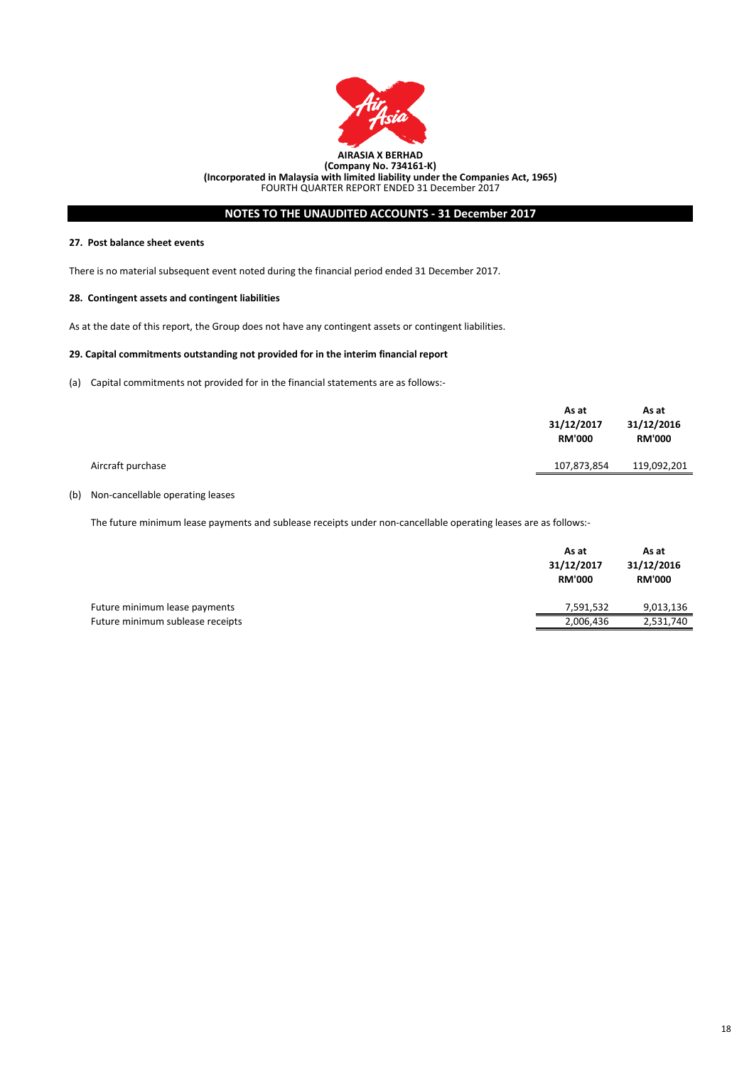

# **NOTES TO THE UNAUDITED ACCOUNTS - 31 December 2017**

## **27. Post balance sheet events**

There is no material subsequent event noted during the financial period ended 31 December 2017.

### **28. Contingent assets and contingent liabilities**

As at the date of this report, the Group does not have any contingent assets or contingent liabilities.

### **29. Capital commitments outstanding not provided for in the interim financial report**

(a) Capital commitments not provided for in the financial statements are as follows:-

|                   | As at<br>31/12/2017<br><b>RM'000</b> | As at<br>31/12/2016<br><b>RM'000</b> |
|-------------------|--------------------------------------|--------------------------------------|
| Aircraft purchase | 107,873,854                          | 119,092,201                          |
|                   |                                      |                                      |

# (b) Non-cancellable operating leases

The future minimum lease payments and sublease receipts under non-cancellable operating leases are as follows:-

| 31/12/2016<br>31/12/2017<br><b>RM'000</b>     | <b>RM'000</b> |
|-----------------------------------------------|---------------|
| Future minimum lease payments<br>7,591,532    | 9,013,136     |
| Future minimum sublease receipts<br>2,006,436 | 2,531,740     |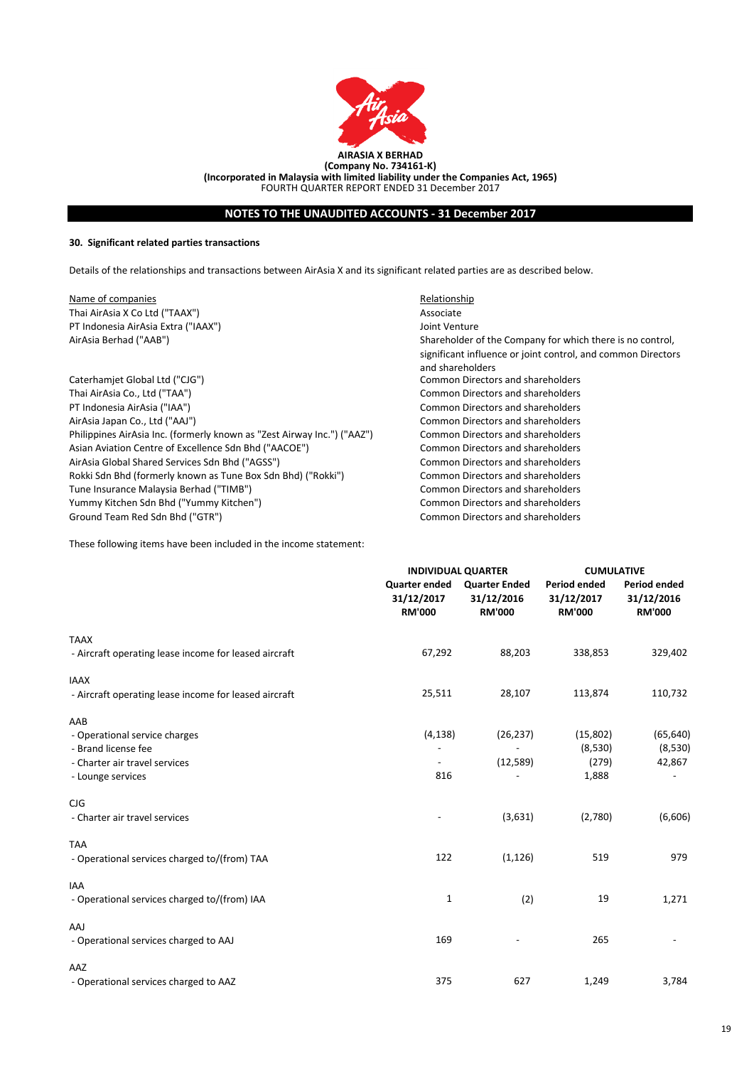

# **NOTES TO THE UNAUDITED ACCOUNTS - 31 December 2017**

# **30. Significant related parties transactions**

Details of the relationships and transactions between AirAsia X and its significant related parties are as described below.

Name of companies **Name of companies** Relationship Thai AirAsia X Co Ltd ("TAAX") Associate PT Indonesia AirAsia Extra ("IAAX") Joint Venture AirAsia Berhad ("AAB")

Caterhamjet Global Ltd ("CJG") Common Directors and shareholders Thai AirAsia Co., Ltd ("TAA") Common Directors and shareholders PT Indonesia AirAsia ("IAA") Common Directors and shareholders AirAsia Japan Co., Ltd ("AAJ") Common Directors and shareholders Philippines AirAsia Inc. (formerly known as "Zest Airway Inc.") ("AAZ") Common Directors and shareholders Asian Aviation Centre of Excellence Sdn Bhd ("AACOE") Common Directors and shareholders AirAsia Global Shared Services Sdn Bhd ("AGSS") Common Directors and shareholders Rokki Sdn Bhd (formerly known as Tune Box Sdn Bhd) ("Rokki") Common Directors and shareholders Tune Insurance Malaysia Berhad ("TIMB") Common Directors and shareholders Yummy Kitchen Sdn Bhd ("Yummy Kitchen") Common Directors and shareholders Ground Team Red Sdn Bhd ("GTR") Common Directors and shareholders

Shareholder of the Company for which there is no control, significant influence or joint control, and common Directors and shareholders

These following items have been included in the income statement:

|                                                       |                                                     | <b>INDIVIDUAL QUARTER</b>                           |                                                    | <b>CUMULATIVE</b>                                  |  |
|-------------------------------------------------------|-----------------------------------------------------|-----------------------------------------------------|----------------------------------------------------|----------------------------------------------------|--|
|                                                       | <b>Quarter ended</b><br>31/12/2017<br><b>RM'000</b> | <b>Quarter Ended</b><br>31/12/2016<br><b>RM'000</b> | <b>Period ended</b><br>31/12/2017<br><b>RM'000</b> | <b>Period ended</b><br>31/12/2016<br><b>RM'000</b> |  |
| <b>TAAX</b>                                           |                                                     |                                                     |                                                    |                                                    |  |
| - Aircraft operating lease income for leased aircraft | 67,292                                              | 88,203                                              | 338,853                                            | 329,402                                            |  |
| <b>IAAX</b>                                           |                                                     |                                                     |                                                    |                                                    |  |
| - Aircraft operating lease income for leased aircraft | 25,511                                              | 28,107                                              | 113,874                                            | 110,732                                            |  |
| AAB                                                   |                                                     |                                                     |                                                    |                                                    |  |
| - Operational service charges                         | (4, 138)                                            | (26, 237)                                           | (15,802)                                           | (65, 640)                                          |  |
| - Brand license fee                                   |                                                     |                                                     | (8,530)                                            | (8,530)                                            |  |
| - Charter air travel services                         |                                                     | (12, 589)                                           | (279)                                              | 42,867                                             |  |
| - Lounge services                                     | 816                                                 |                                                     | 1,888                                              |                                                    |  |
| CJG                                                   |                                                     |                                                     |                                                    |                                                    |  |
| - Charter air travel services                         |                                                     | (3,631)                                             | (2,780)                                            | (6,606)                                            |  |
| <b>TAA</b>                                            |                                                     |                                                     |                                                    |                                                    |  |
| - Operational services charged to/(from) TAA          | 122                                                 | (1, 126)                                            | 519                                                | 979                                                |  |
| <b>IAA</b>                                            |                                                     |                                                     |                                                    |                                                    |  |
| - Operational services charged to/(from) IAA          | 1                                                   | (2)                                                 | 19                                                 | 1,271                                              |  |
| AAJ                                                   |                                                     |                                                     |                                                    |                                                    |  |
| - Operational services charged to AAJ                 | 169                                                 |                                                     | 265                                                |                                                    |  |
| AAZ                                                   |                                                     |                                                     |                                                    |                                                    |  |
| - Operational services charged to AAZ                 | 375                                                 | 627                                                 | 1,249                                              | 3,784                                              |  |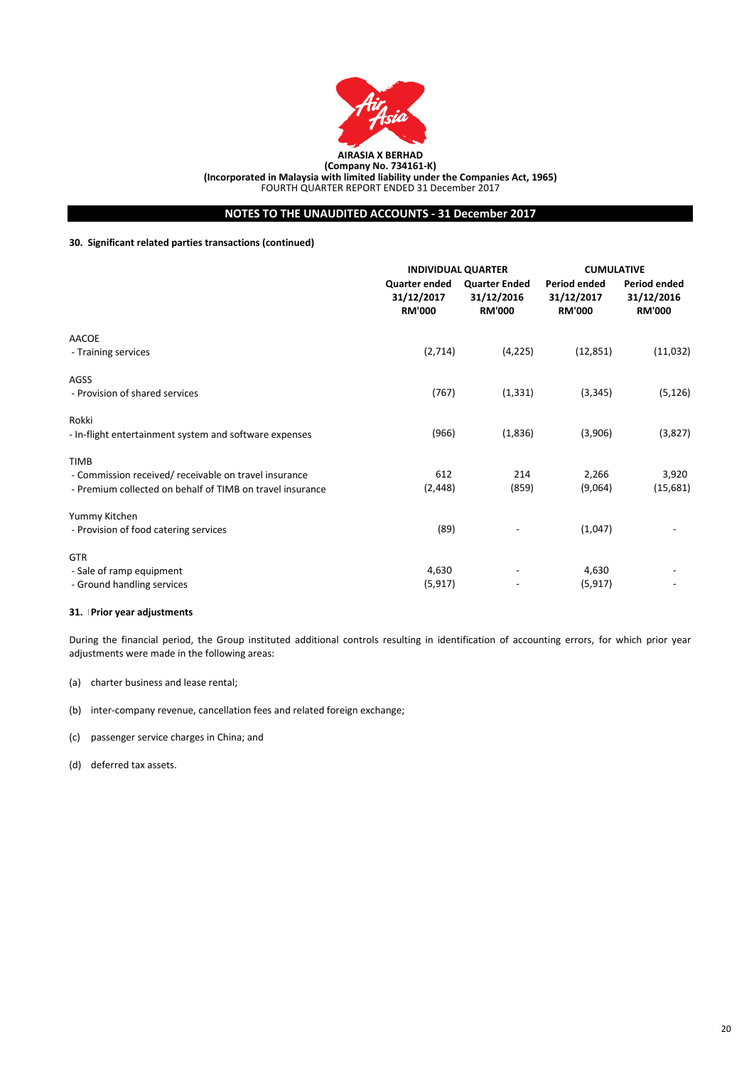

**NOTES TO THE UNAUDITED ACCOUNTS - 31 December 2017**

# **30. Significant related parties transactions (continued)**

|                                                           | <b>INDIVIDUAL QUARTER</b>                           |                                                     | <b>CUMULATIVE</b>                                  |                                                    |
|-----------------------------------------------------------|-----------------------------------------------------|-----------------------------------------------------|----------------------------------------------------|----------------------------------------------------|
|                                                           | <b>Quarter ended</b><br>31/12/2017<br><b>RM'000</b> | <b>Quarter Ended</b><br>31/12/2016<br><b>RM'000</b> | <b>Period ended</b><br>31/12/2017<br><b>RM'000</b> | <b>Period ended</b><br>31/12/2016<br><b>RM'000</b> |
| AACOE                                                     |                                                     |                                                     |                                                    |                                                    |
| - Training services                                       | (2,714)                                             | (4, 225)                                            | (12, 851)                                          | (11,032)                                           |
| AGSS                                                      |                                                     |                                                     |                                                    |                                                    |
| - Provision of shared services                            | (767)                                               | (1, 331)                                            | (3, 345)                                           | (5, 126)                                           |
| Rokki                                                     |                                                     |                                                     |                                                    |                                                    |
| - In-flight entertainment system and software expenses    | (966)                                               | (1,836)                                             | (3,906)                                            | (3,827)                                            |
| <b>TIMB</b>                                               |                                                     |                                                     |                                                    |                                                    |
| - Commission received/ receivable on travel insurance     | 612                                                 | 214                                                 | 2,266                                              | 3,920                                              |
| - Premium collected on behalf of TIMB on travel insurance | (2, 448)                                            | (859)                                               | (9,064)                                            | (15,681)                                           |
| Yummy Kitchen                                             |                                                     |                                                     |                                                    |                                                    |
| - Provision of food catering services                     | (89)                                                |                                                     | (1,047)                                            |                                                    |
| <b>GTR</b>                                                |                                                     |                                                     |                                                    |                                                    |
| - Sale of ramp equipment                                  | 4,630                                               |                                                     | 4,630                                              |                                                    |
| - Ground handling services                                | (5, 917)                                            |                                                     | (5, 917)                                           |                                                    |

### **31. Prior year adjustments**

During the financial period, the Group instituted additional controls resulting in identification of accounting errors, for which prior year adjustments were made in the following areas:

- (a) charter business and lease rental;
- (b) inter-company revenue, cancellation fees and related foreign exchange;
- (c) passenger service charges in China; and
- (d) deferred tax assets.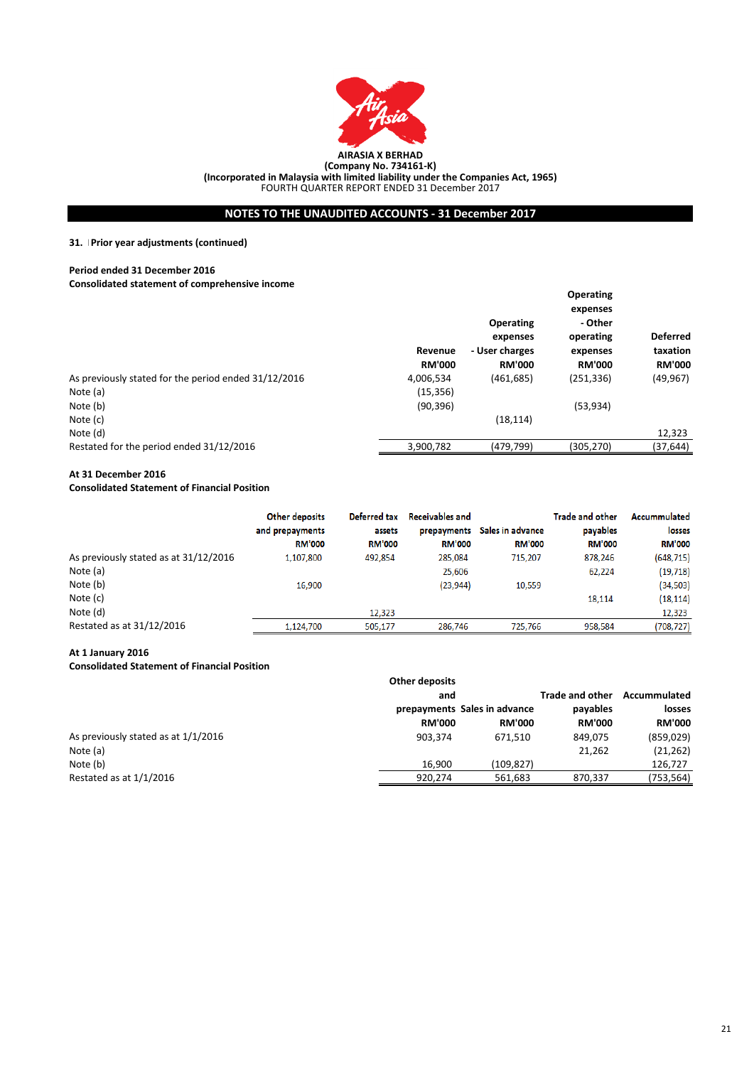

**NOTES TO THE UNAUDITED ACCOUNTS - 31 December 2017**

# **31. Prior year adjustments (continued)**

### **Period ended 31 December 2016**

**Consolidated statement of comprehensive income**

|                                                      |                                       |                  | <b>Operating</b> |                 |
|------------------------------------------------------|---------------------------------------|------------------|------------------|-----------------|
|                                                      |                                       |                  | expenses         |                 |
|                                                      |                                       | <b>Operating</b> | - Other          |                 |
|                                                      |                                       | expenses         | operating        | <b>Deferred</b> |
|                                                      | - User charges<br>Revenue<br>expenses |                  | taxation         |                 |
|                                                      | <b>RM'000</b>                         | <b>RM'000</b>    | <b>RM'000</b>    | <b>RM'000</b>   |
| As previously stated for the period ended 31/12/2016 | 4,006,534                             | (461, 685)       | (251, 336)       | (49, 967)       |
| Note (a)                                             | (15, 356)                             |                  |                  |                 |
| Note (b)                                             | (90, 396)                             |                  | (53, 934)        |                 |
| Note (c)                                             |                                       | (18, 114)        |                  |                 |
| Note (d)                                             |                                       |                  |                  | 12,323          |
| Restated for the period ended 31/12/2016             | 3,900,782                             | (479,799)        | (305,270)        | (37, 644)       |
|                                                      |                                       |                  |                  |                 |

# **At 31 December 2016**

# **Consolidated Statement of Financial Position**

|                                       | Other deposits<br>and prepayments<br><b>RM'000</b> | Deferred tax<br>assets<br><b>RM'000</b> | <b>Receivables and</b><br>prepayments<br><b>RM'000</b> | Sales in advance<br><b>RM'000</b> | Trade and other<br>payables<br><b>RM'000</b> | Accummulated<br>losses<br><b>RM'000</b> |
|---------------------------------------|----------------------------------------------------|-----------------------------------------|--------------------------------------------------------|-----------------------------------|----------------------------------------------|-----------------------------------------|
| As previously stated as at 31/12/2016 | 1,107,800                                          | 492,854                                 | 285,084                                                | 715,207                           | 878,246                                      | (648, 715)                              |
| Note (a)                              |                                                    |                                         | 25,606                                                 |                                   | 62,224                                       | (19, 718)                               |
| Note (b)                              | 16,900                                             |                                         | (23, 944)                                              | 10,559                            |                                              | (34, 503)                               |
| Note (c)                              |                                                    |                                         |                                                        |                                   | 18,114                                       | (18, 114)                               |
| Note (d)                              |                                                    | 12.323                                  |                                                        |                                   |                                              | 12,323                                  |
| Restated as at 31/12/2016             | 1.124.700                                          | 505.177                                 | 286.746                                                | 725.766                           | 958.584                                      | (708, 727)                              |

### **At 1 January 2016**

### **Consolidated Statement of Financial Position**

|                                     | <b>Other deposits</b> |                                               |                           |                         |
|-------------------------------------|-----------------------|-----------------------------------------------|---------------------------|-------------------------|
|                                     | and                   |                                               | <b>Trade and other</b>    | Accummulated            |
|                                     | <b>RM'000</b>         | prepayments Sales in advance<br><b>RM'000</b> | payables<br><b>RM'000</b> | losses<br><b>RM'000</b> |
|                                     |                       |                                               |                           |                         |
| As previously stated as at 1/1/2016 | 903.374               | 671.510                                       | 849.075                   | (859, 029)              |
| Note (a)                            |                       |                                               | 21,262                    | (21, 262)               |
| Note (b)                            | 16.900                | (109, 827)                                    |                           | 126,727                 |
| Restated as at $1/1/2016$           | 920,274               | 561,683                                       | 870,337                   | (753,564)               |